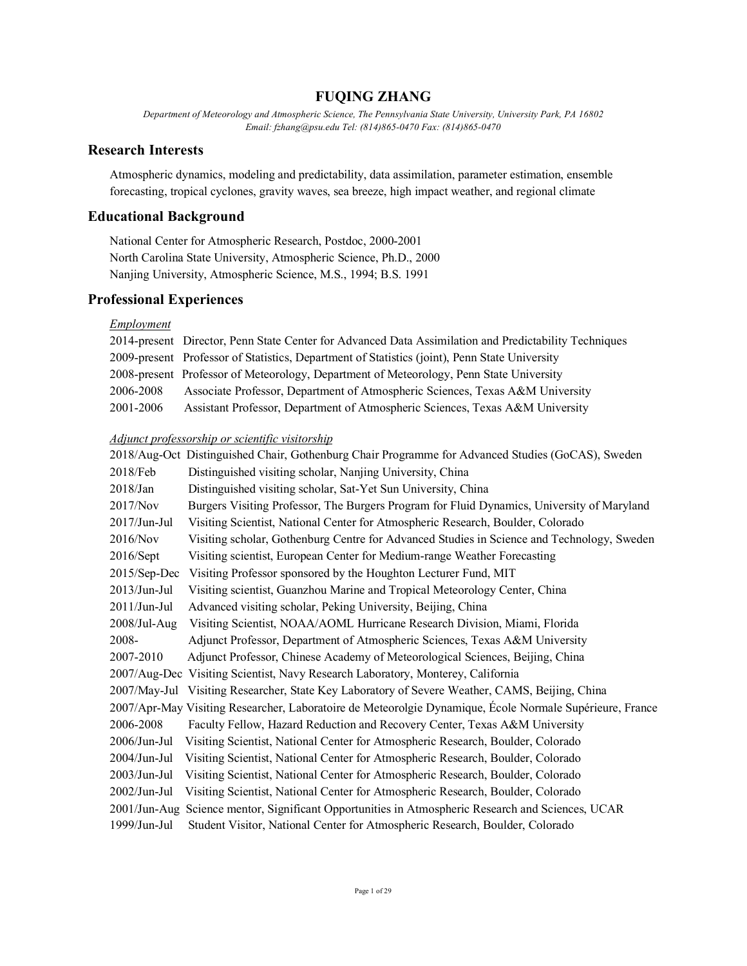# **FUQING ZHANG**

*Department of Meteorology and Atmospheric Science, The Pennsylvania State University, University Park, PA 16802 Email: fzhang@psu.edu Tel: (814)865-0470 Fax: (814)865-0470*

# **Research Interests**

Atmospheric dynamics, modeling and predictability, data assimilation, parameter estimation, ensemble forecasting, tropical cyclones, gravity waves, sea breeze, high impact weather, and regional climate

# **Educational Background**

National Center for Atmospheric Research, Postdoc, 2000-2001 North Carolina State University, Atmospheric Science, Ph.D., 2000 Nanjing University, Atmospheric Science, M.S., 1994; B.S. 1991

# **Professional Experiences**

# *Employment*

|           | 2014-present Director, Penn State Center for Advanced Data Assimilation and Predictability Techniques |
|-----------|-------------------------------------------------------------------------------------------------------|
|           | 2009-present Professor of Statistics, Department of Statistics (joint), Penn State University         |
|           | 2008-present Professor of Meteorology, Department of Meteorology, Penn State University               |
| 2006-2008 | Associate Professor, Department of Atmospheric Sciences, Texas A&M University                         |
| 2001-2006 | Assistant Professor, Department of Atmospheric Sciences, Texas A&M University                         |

### *Adjunct professorship or scientific visitorship*

|                 | 2018/Aug-Oct Distinguished Chair, Gothenburg Chair Programme for Advanced Studies (GoCAS), Sweden        |
|-----------------|----------------------------------------------------------------------------------------------------------|
| 2018/Feb        | Distinguished visiting scholar, Nanjing University, China                                                |
| $2018$ /Jan     | Distinguished visiting scholar, Sat-Yet Sun University, China                                            |
| 2017/Nov        | Burgers Visiting Professor, The Burgers Program for Fluid Dynamics, University of Maryland               |
| $2017$ /Jun-Jul | Visiting Scientist, National Center for Atmospheric Research, Boulder, Colorado                          |
| 2016/Nov        | Visiting scholar, Gothenburg Centre for Advanced Studies in Science and Technology, Sweden               |
| 2016/Sept       | Visiting scientist, European Center for Medium-range Weather Forecasting                                 |
| 2015/Sep-Dec    | Visiting Professor sponsored by the Houghton Lecturer Fund, MIT                                          |
| $2013$ /Jun-Jul | Visiting scientist, Guanzhou Marine and Tropical Meteorology Center, China                               |
| $2011/J$ un-Jul | Advanced visiting scholar, Peking University, Beijing, China                                             |
| $2008$ /Jul-Aug | Visiting Scientist, NOAA/AOML Hurricane Research Division, Miami, Florida                                |
| 2008-           | Adjunct Professor, Department of Atmospheric Sciences, Texas A&M University                              |
| 2007-2010       | Adjunct Professor, Chinese Academy of Meteorological Sciences, Beijing, China                            |
|                 | 2007/Aug-Dec Visiting Scientist, Navy Research Laboratory, Monterey, California                          |
|                 | 2007/May-Jul Visiting Researcher, State Key Laboratory of Severe Weather, CAMS, Beijing, China           |
|                 | 2007/Apr-May Visiting Researcher, Laboratoire de Meteorolgie Dynamique, École Normale Supérieure, France |
| 2006-2008       | Faculty Fellow, Hazard Reduction and Recovery Center, Texas A&M University                               |
| $2006/J$ un-Jul | Visiting Scientist, National Center for Atmospheric Research, Boulder, Colorado                          |
| $2004$ /Jun-Jul | Visiting Scientist, National Center for Atmospheric Research, Boulder, Colorado                          |
| $2003/J$ un-Jul | Visiting Scientist, National Center for Atmospheric Research, Boulder, Colorado                          |
| $2002/J$ un-Jul | Visiting Scientist, National Center for Atmospheric Research, Boulder, Colorado                          |
| $2001/J$ un-Aug | Science mentor, Significant Opportunities in Atmospheric Research and Sciences, UCAR                     |
| $1999$ /Jun-Jul | Student Visitor, National Center for Atmospheric Research, Boulder, Colorado                             |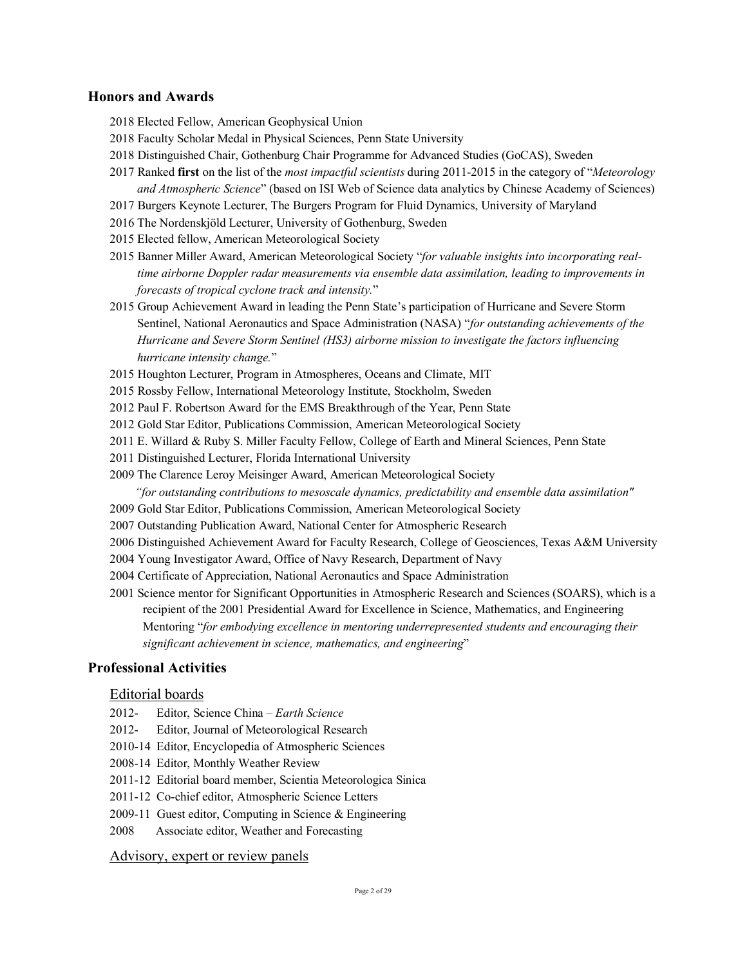# **Honors and Awards**

- 2018 Elected Fellow, American Geophysical Union
- 2018 Faculty Scholar Medal in Physical Sciences, Penn State University
- 2018 Distinguished Chair, Gothenburg Chair Programme for Advanced Studies (GoCAS), Sweden
- 2017 Ranked **first** on the list of the *most impactful scientists* during 2011-2015 in the category of "*Meteorology and Atmospheric Science*" (based on ISI Web of Science data analytics by Chinese Academy of Sciences)
- 2017 Burgers Keynote Lecturer, The Burgers Program for Fluid Dynamics, University of Maryland
- 2016 The Nordenskjöld Lecturer, University of Gothenburg, Sweden
- 2015 Elected fellow, American Meteorological Society
- 2015 Banner Miller Award, American Meteorological Society "*for valuable insights into incorporating realtime airborne Doppler radar measurements via ensemble data assimilation, leading to improvements in forecasts of tropical cyclone track and intensity.*"
- 2015 Group Achievement Award in leading the Penn State's participation of Hurricane and Severe Storm Sentinel, National Aeronautics and Space Administration (NASA) "*for outstanding achievements of the Hurricane and Severe Storm Sentinel (HS3) airborne mission to investigate the factors influencing hurricane intensity change.*"
- 2015 Houghton Lecturer, Program in Atmospheres, Oceans and Climate, MIT
- 2015 Rossby Fellow, International Meteorology Institute, Stockholm, Sweden
- 2012 Paul F. Robertson Award for the EMS Breakthrough of the Year, Penn State
- 2012 Gold Star Editor, Publications Commission, American Meteorological Society
- 2011 E. Willard & Ruby S. Miller Faculty Fellow, College of Earth and Mineral Sciences, Penn State
- 2011 Distinguished Lecturer, Florida International University
- 2009 The Clarence Leroy Meisinger Award, American Meteorological Society

*"for outstanding contributions to mesoscale dynamics, predictability and ensemble data assimilation"*

- 2009 Gold Star Editor, Publications Commission, American Meteorological Society
- 2007 Outstanding Publication Award, National Center for Atmospheric Research
- 2006 Distinguished Achievement Award for Faculty Research, College of Geosciences, Texas A&M University
- 2004 Young Investigator Award, Office of Navy Research, Department of Navy
- 2004 Certificate of Appreciation, National Aeronautics and Space Administration
- 2001 Science mentor for Significant Opportunities in Atmospheric Research and Sciences (SOARS), which is a recipient of the 2001 Presidential Award for Excellence in Science, Mathematics, and Engineering Mentoring "*for embodying excellence in mentoring underrepresented students and encouraging their significant achievement in science, mathematics, and engineering*"

# **Professional Activities**

## Editorial boards

- 2012- Editor, Science China *Earth Science*
- 2012- Editor, Journal of Meteorological Research
- 2010-14 Editor, Encyclopedia of Atmospheric Sciences
- 2008-14 Editor, Monthly Weather Review
- 2011-12 Editorial board member, Scientia Meteorologica Sinica
- 2011-12 Co-chief editor, Atmospheric Science Letters
- 2009-11 Guest editor, Computing in Science & Engineering
- 2008 Associate editor, Weather and Forecasting

# Advisory, expert or review panels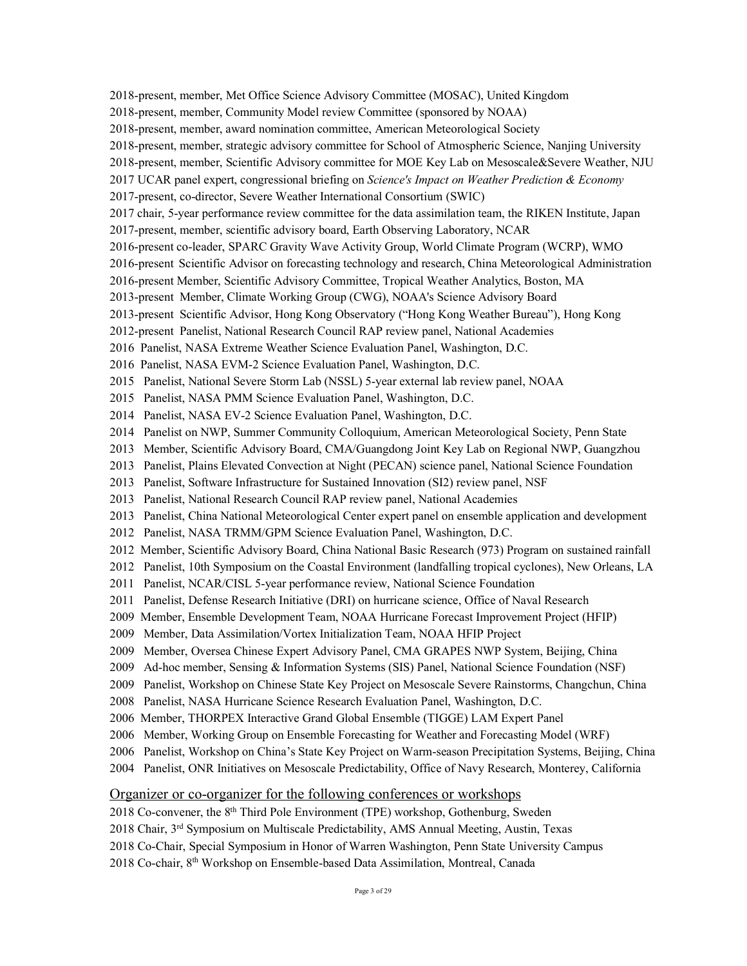2018-present, member, Met Office Science Advisory Committee (MOSAC), United Kingdom 2018-present, member, Community Model review Committee (sponsored by NOAA) 2018-present, member, award nomination committee, American Meteorological Society 2018-present, member, strategic advisory committee for School of Atmospheric Science, Nanjing University 2018-present, member, Scientific Advisory committee for MOE Key Lab on Mesoscale&Severe Weather, NJU 2017 UCAR panel expert, congressional briefing on *Science's Impact on Weather Prediction & Economy* 2017-present, co-director, Severe Weather International Consortium (SWIC) 2017 chair, 5-year performance review committee for the data assimilation team, the RIKEN Institute, Japan 2017-present, member, scientific advisory board, Earth Observing Laboratory, NCAR 2016-present co-leader, SPARC Gravity Wave Activity Group, World Climate Program (WCRP), WMO 2016-present Scientific Advisor on forecasting technology and research, China Meteorological Administration 2016-present Member, Scientific Advisory Committee, Tropical Weather Analytics, Boston, MA 2013-present Member, Climate Working Group (CWG), NOAA's Science Advisory Board 2013-present Scientific Advisor, Hong Kong Observatory ("Hong Kong Weather Bureau"), Hong Kong 2012-present Panelist, National Research Council RAP review panel, National Academies 2016 Panelist, NASA Extreme Weather Science Evaluation Panel, Washington, D.C. 2016 Panelist, NASA EVM-2 Science Evaluation Panel, Washington, D.C. 2015 Panelist, National Severe Storm Lab (NSSL) 5-year external lab review panel, NOAA 2015 Panelist, NASA PMM Science Evaluation Panel, Washington, D.C. 2014 Panelist, NASA EV-2 Science Evaluation Panel, Washington, D.C. 2014 Panelist on NWP, Summer Community Colloquium, American Meteorological Society, Penn State 2013 Member, Scientific Advisory Board, CMA/Guangdong Joint Key Lab on Regional NWP, Guangzhou 2013 Panelist, Plains Elevated Convection at Night (PECAN) science panel, National Science Foundation 2013 Panelist, Software Infrastructure for Sustained Innovation (SI2) review panel, NSF 2013 Panelist, National Research Council RAP review panel, National Academies 2013 Panelist, China National Meteorological Center expert panel on ensemble application and development 2012 Panelist, NASA TRMM/GPM Science Evaluation Panel, Washington, D.C. 2012 Member, Scientific Advisory Board, China National Basic Research (973) Program on sustained rainfall 2012 Panelist, 10th Symposium on the Coastal Environment (landfalling tropical cyclones), New Orleans, LA 2011 Panelist, NCAR/CISL 5-year performance review, National Science Foundation 2011 Panelist, Defense Research Initiative (DRI) on hurricane science, Office of Naval Research 2009 Member, Ensemble Development Team, NOAA Hurricane Forecast Improvement Project (HFIP) 2009 Member, Data Assimilation/Vortex Initialization Team, NOAA HFIP Project 2009 Member, Oversea Chinese Expert Advisory Panel, CMA GRAPES NWP System, Beijing, China 2009 Ad-hoc member, Sensing & Information Systems (SIS) Panel, National Science Foundation (NSF) 2009 Panelist, Workshop on Chinese State Key Project on Mesoscale Severe Rainstorms, Changchun, China 2008 Panelist, NASA Hurricane Science Research Evaluation Panel, Washington, D.C. 2006 Member, THORPEX Interactive Grand Global Ensemble (TIGGE) LAM Expert Panel 2006 Member, Working Group on Ensemble Forecasting for Weather and Forecasting Model (WRF) 2006 Panelist, Workshop on China's State Key Project on Warm-season Precipitation Systems, Beijing, China 2004 Panelist, ONR Initiatives on Mesoscale Predictability, Office of Navy Research, Monterey, California Organizer or co-organizer for the following conferences or workshops

- 2018 Co-convener, the 8th Third Pole Environment (TPE) workshop, Gothenburg, Sweden
- 2018 Chair,  $3<sup>rd</sup>$  Symposium on Multiscale Predictability, AMS Annual Meeting, Austin, Texas
- 2018 Co-Chair, Special Symposium in Honor of Warren Washington, Penn State University Campus

2018 Co-chair, 8th Workshop on Ensemble-based Data Assimilation, Montreal, Canada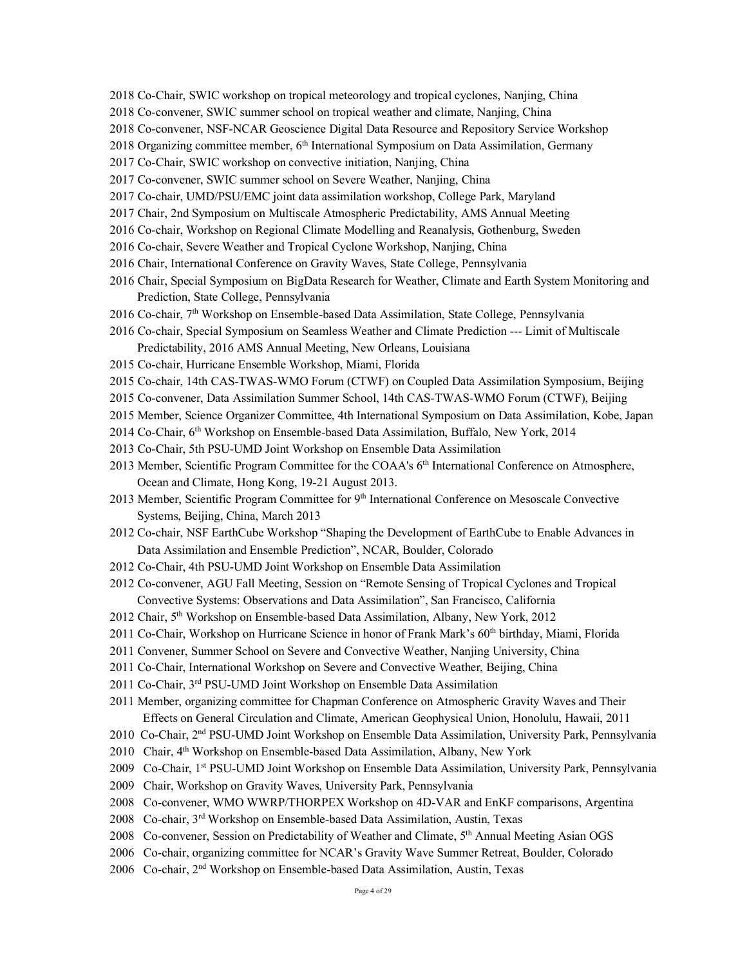- 2018 Co-Chair, SWIC workshop on tropical meteorology and tropical cyclones, Nanjing, China
- 2018 Co-convener, SWIC summer school on tropical weather and climate, Nanjing, China
- 2018 Co-convener, NSF-NCAR Geoscience Digital Data Resource and Repository Service Workshop
- 2018 Organizing committee member,  $6<sup>th</sup>$  International Symposium on Data Assimilation, Germany
- 2017 Co-Chair, SWIC workshop on convective initiation, Nanjing, China
- 2017 Co-convener, SWIC summer school on Severe Weather, Nanjing, China
- 2017 Co-chair, UMD/PSU/EMC joint data assimilation workshop, College Park, Maryland
- 2017 Chair, 2nd Symposium on Multiscale Atmospheric Predictability, AMS Annual Meeting
- 2016 Co-chair, Workshop on Regional Climate Modelling and Reanalysis, Gothenburg, Sweden
- 2016 Co-chair, Severe Weather and Tropical Cyclone Workshop, Nanjing, China
- 2016 Chair, International Conference on Gravity Waves, State College, Pennsylvania
- 2016 Chair, Special Symposium on BigData Research for Weather, Climate and Earth System Monitoring and Prediction, State College, Pennsylvania
- 2016 Co-chair, 7th Workshop on Ensemble-based Data Assimilation, State College, Pennsylvania
- 2016 Co-chair, Special Symposium on Seamless Weather and Climate Prediction --- Limit of Multiscale Predictability, 2016 AMS Annual Meeting, New Orleans, Louisiana
- 2015 Co-chair, Hurricane Ensemble Workshop, Miami, Florida
- 2015 Co-chair, 14th CAS-TWAS-WMO Forum (CTWF) on Coupled Data Assimilation Symposium, Beijing
- 2015 Co-convener, Data Assimilation Summer School, 14th CAS-TWAS-WMO Forum (CTWF), Beijing
- 2015 Member, Science Organizer Committee, 4th International Symposium on Data Assimilation, Kobe, Japan
- 2014 Co-Chair, 6th Workshop on Ensemble-based Data Assimilation, Buffalo, New York, 2014
- 2013 Co-Chair, 5th PSU-UMD Joint Workshop on Ensemble Data Assimilation
- 2013 Member, Scientific Program Committee for the COAA's 6<sup>th</sup> International Conference on Atmosphere, Ocean and Climate, Hong Kong, 19-21 August 2013.
- 2013 Member, Scientific Program Committee for 9<sup>th</sup> International Conference on Mesoscale Convective Systems, Beijing, China, March 2013
- 2012 Co-chair, NSF EarthCube Workshop "Shaping the Development of EarthCube to Enable Advances in Data Assimilation and Ensemble Prediction", NCAR, Boulder, Colorado
- 2012 Co-Chair, 4th PSU-UMD Joint Workshop on Ensemble Data Assimilation
- 2012 Co-convener, AGU Fall Meeting, Session on "Remote Sensing of Tropical Cyclones and Tropical Convective Systems: Observations and Data Assimilation", San Francisco, California
- 2012 Chair, 5th Workshop on Ensemble-based Data Assimilation, Albany, New York, 2012
- 2011 Co-Chair, Workshop on Hurricane Science in honor of Frank Mark's 60<sup>th</sup> birthday, Miami, Florida
- 2011 Convener, Summer School on Severe and Convective Weather, Nanjing University, China
- 2011 Co-Chair, International Workshop on Severe and Convective Weather, Beijing, China
- 2011 Co-Chair, 3rd PSU-UMD Joint Workshop on Ensemble Data Assimilation
- 2011 Member, organizing committee for Chapman Conference on Atmospheric Gravity Waves and Their Effects on General Circulation and Climate, American Geophysical Union, Honolulu, Hawaii, 2011
- 2010 Co-Chair, 2nd PSU-UMD Joint Workshop on Ensemble Data Assimilation, University Park, Pennsylvania
- 2010 Chair, 4<sup>th</sup> Workshop on Ensemble-based Data Assimilation, Albany, New York
- 2009 Co-Chair, 1st PSU-UMD Joint Workshop on Ensemble Data Assimilation, University Park, Pennsylvania
- 2009 Chair, Workshop on Gravity Waves, University Park, Pennsylvania
- 2008 Co-convener, WMO WWRP/THORPEX Workshop on 4D-VAR and EnKF comparisons, Argentina
- 2008 Co-chair, 3rd Workshop on Ensemble-based Data Assimilation, Austin, Texas
- 2008 Co-convener, Session on Predictability of Weather and Climate, 5th Annual Meeting Asian OGS
- 2006 Co-chair, organizing committee for NCAR's Gravity Wave Summer Retreat, Boulder, Colorado
- 2006 Co-chair, 2nd Workshop on Ensemble-based Data Assimilation, Austin, Texas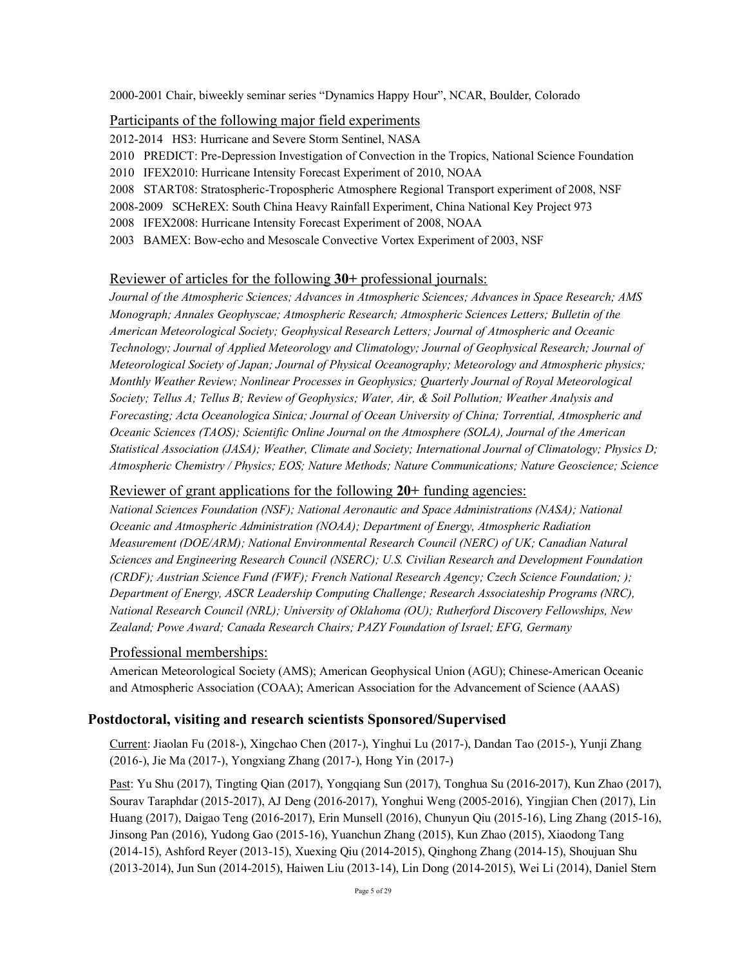2000-2001 Chair, biweekly seminar series "Dynamics Happy Hour", NCAR, Boulder, Colorado

# Participants of the following major field experiments

2012-2014 HS3: Hurricane and Severe Storm Sentinel, NASA

- 2010 PREDICT: Pre-Depression Investigation of Convection in the Tropics, National Science Foundation
- 2010 IFEX2010: Hurricane Intensity Forecast Experiment of 2010, NOAA
- 2008 START08: Stratospheric-Tropospheric Atmosphere Regional Transport experiment of 2008, NSF
- 2008-2009 SCHeREX: South China Heavy Rainfall Experiment, China National Key Project 973
- 2008 IFEX2008: Hurricane Intensity Forecast Experiment of 2008, NOAA
- 2003 BAMEX: Bow-echo and Mesoscale Convective Vortex Experiment of 2003, NSF

# Reviewer of articles for the following **30+** professional journals:

*Journal of the Atmospheric Sciences; Advances in Atmospheric Sciences; Advances in Space Research; AMS Monograph; Annales Geophyscae; Atmospheric Research; Atmospheric Sciences Letters; Bulletin of the American Meteorological Society; Geophysical Research Letters; Journal of Atmospheric and Oceanic Technology; Journal of Applied Meteorology and Climatology; Journal of Geophysical Research; Journal of Meteorological Society of Japan; Journal of Physical Oceanography; Meteorology and Atmospheric physics; Monthly Weather Review; Nonlinear Processes in Geophysics; Quarterly Journal of Royal Meteorological Society; Tellus A; Tellus B; Review of Geophysics; Water, Air, & Soil Pollution; Weather Analysis and Forecasting; Acta Oceanologica Sinica; Journal of Ocean University of China; Torrential, Atmospheric and Oceanic Sciences (TAOS); Scientific Online Journal on the Atmosphere (SOLA), Journal of the American Statistical Association (JASA); Weather, Climate and Society; International Journal of Climatology; Physics D; Atmospheric Chemistry / Physics; EOS; Nature Methods; Nature Communications; Nature Geoscience; Science*

# Reviewer of grant applications for the following **20+** funding agencies:

*National Sciences Foundation (NSF); National Aeronautic and Space Administrations (NASA); National Oceanic and Atmospheric Administration (NOAA); Department of Energy, Atmospheric Radiation Measurement (DOE/ARM); National Environmental Research Council (NERC) of UK; Canadian Natural Sciences and Engineering Research Council (NSERC); U.S. Civilian Research and Development Foundation (CRDF); Austrian Science Fund (FWF); French National Research Agency; Czech Science Foundation; ); Department of Energy, ASCR Leadership Computing Challenge; Research Associateship Programs (NRC), National Research Council (NRL); University of Oklahoma (OU); Rutherford Discovery Fellowships, New Zealand; Powe Award; Canada Research Chairs; PAZY Foundation of Israel; EFG, Germany*

# Professional memberships:

American Meteorological Society (AMS); American Geophysical Union (AGU); Chinese-American Oceanic and Atmospheric Association (COAA); American Association for the Advancement of Science (AAAS)

# **Postdoctoral, visiting and research scientists Sponsored/Supervised**

Current: Jiaolan Fu (2018-), Xingchao Chen (2017-), Yinghui Lu (2017-), Dandan Tao (2015-), Yunji Zhang (2016-), Jie Ma (2017-), Yongxiang Zhang (2017-), Hong Yin (2017-)

Past: Yu Shu (2017), Tingting Qian (2017), Yongqiang Sun (2017), Tonghua Su (2016-2017), Kun Zhao (2017), Sourav Taraphdar (2015-2017), AJ Deng (2016-2017), Yonghui Weng (2005-2016), Yingjian Chen (2017), Lin Huang (2017), Daigao Teng (2016-2017), Erin Munsell (2016), Chunyun Qiu (2015-16), Ling Zhang (2015-16), Jinsong Pan (2016), Yudong Gao (2015-16), Yuanchun Zhang (2015), Kun Zhao (2015), Xiaodong Tang (2014-15), Ashford Reyer (2013-15), Xuexing Qiu (2014-2015), Qinghong Zhang (2014-15), Shoujuan Shu (2013-2014), Jun Sun (2014-2015), Haiwen Liu (2013-14), Lin Dong (2014-2015), Wei Li (2014), Daniel Stern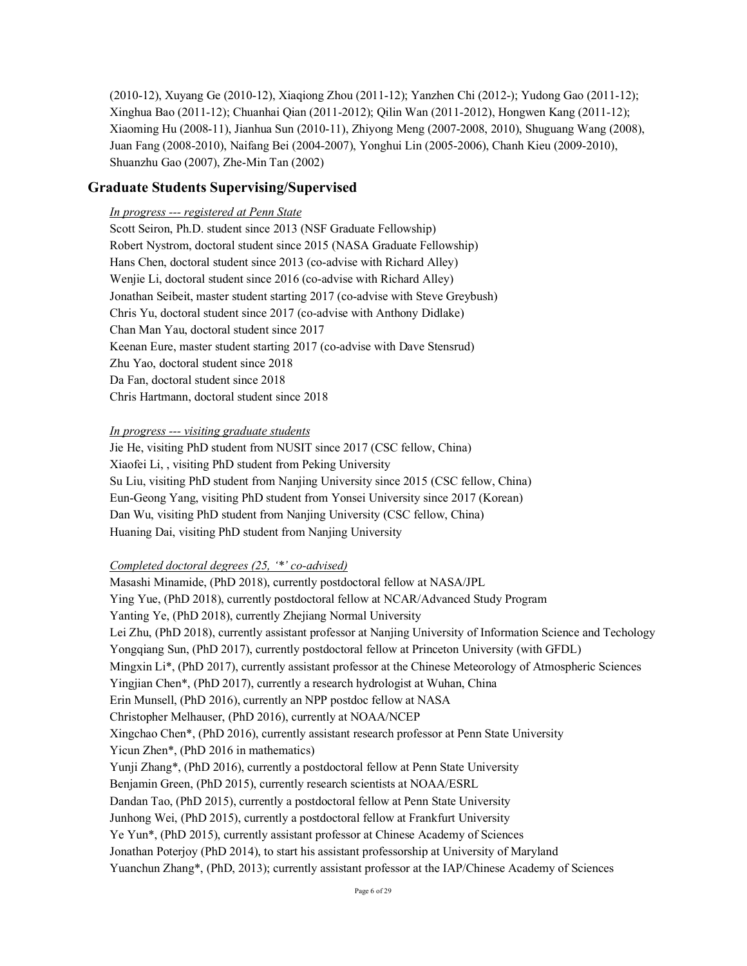(2010-12), Xuyang Ge (2010-12), Xiaqiong Zhou (2011-12); Yanzhen Chi (2012-); Yudong Gao (2011-12); Xinghua Bao (2011-12); Chuanhai Qian (2011-2012); Qilin Wan (2011-2012), Hongwen Kang (2011-12); Xiaoming Hu (2008-11), Jianhua Sun (2010-11), Zhiyong Meng (2007-2008, 2010), Shuguang Wang (2008), Juan Fang (2008-2010), Naifang Bei (2004-2007), Yonghui Lin (2005-2006), Chanh Kieu (2009-2010), Shuanzhu Gao (2007), Zhe-Min Tan (2002)

# **Graduate Students Supervising/Supervised**

# *In progress --- registered at Penn State*

Scott Seiron, Ph.D. student since 2013 (NSF Graduate Fellowship) Robert Nystrom, doctoral student since 2015 (NASA Graduate Fellowship) Hans Chen, doctoral student since 2013 (co-advise with Richard Alley) Wenjie Li, doctoral student since 2016 (co-advise with Richard Alley) Jonathan Seibeit, master student starting 2017 (co-advise with Steve Greybush) Chris Yu, doctoral student since 2017 (co-advise with Anthony Didlake) Chan Man Yau, doctoral student since 2017 Keenan Eure, master student starting 2017 (co-advise with Dave Stensrud) Zhu Yao, doctoral student since 2018 Da Fan, doctoral student since 2018 Chris Hartmann, doctoral student since 2018

## *In progress --- visiting graduate students*

Jie He, visiting PhD student from NUSIT since 2017 (CSC fellow, China) Xiaofei Li, , visiting PhD student from Peking University Su Liu, visiting PhD student from Nanjing University since 2015 (CSC fellow, China) Eun-Geong Yang, visiting PhD student from Yonsei University since 2017 (Korean) Dan Wu, visiting PhD student from Nanjing University (CSC fellow, China) Huaning Dai, visiting PhD student from Nanjing University

## *Completed doctoral degrees (25, '\*' co-advised)*

Masashi Minamide, (PhD 2018), currently postdoctoral fellow at NASA/JPL Ying Yue, (PhD 2018), currently postdoctoral fellow at NCAR/Advanced Study Program Yanting Ye, (PhD 2018), currently Zhejiang Normal University Lei Zhu, (PhD 2018), currently assistant professor at Nanjing University of Information Science and Techology Yongqiang Sun, (PhD 2017), currently postdoctoral fellow at Princeton University (with GFDL) Mingxin Li\*, (PhD 2017), currently assistant professor at the Chinese Meteorology of Atmospheric Sciences Yingjian Chen\*, (PhD 2017), currently a research hydrologist at Wuhan, China Erin Munsell, (PhD 2016), currently an NPP postdoc fellow at NASA Christopher Melhauser, (PhD 2016), currently at NOAA/NCEP Xingchao Chen\*, (PhD 2016), currently assistant research professor at Penn State University Yicun Zhen\*, (PhD 2016 in mathematics) Yunji Zhang\*, (PhD 2016), currently a postdoctoral fellow at Penn State University Benjamin Green, (PhD 2015), currently research scientists at NOAA/ESRL Dandan Tao, (PhD 2015), currently a postdoctoral fellow at Penn State University Junhong Wei, (PhD 2015), currently a postdoctoral fellow at Frankfurt University Ye Yun\*, (PhD 2015), currently assistant professor at Chinese Academy of Sciences Jonathan Poterjoy (PhD 2014), to start his assistant professorship at University of Maryland Yuanchun Zhang\*, (PhD, 2013); currently assistant professor at the IAP/Chinese Academy of Sciences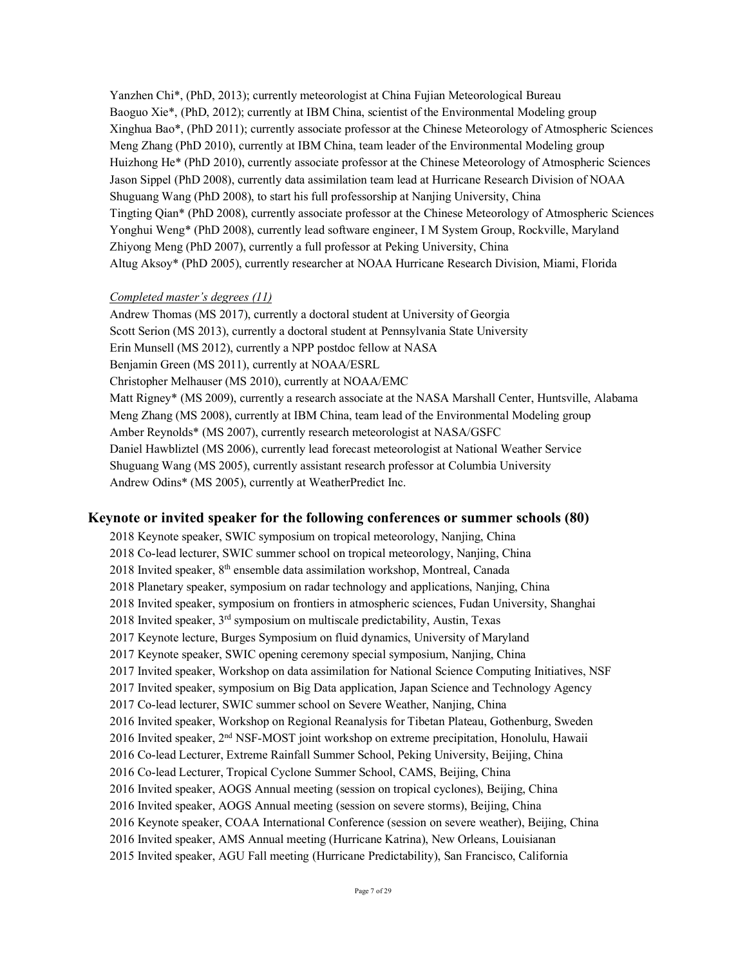Yanzhen Chi\*, (PhD, 2013); currently meteorologist at China Fujian Meteorological Bureau Baoguo Xie\*, (PhD, 2012); currently at IBM China, scientist of the Environmental Modeling group Xinghua Bao\*, (PhD 2011); currently associate professor at the Chinese Meteorology of Atmospheric Sciences Meng Zhang (PhD 2010), currently at IBM China, team leader of the Environmental Modeling group Huizhong He\* (PhD 2010), currently associate professor at the Chinese Meteorology of Atmospheric Sciences Jason Sippel (PhD 2008), currently data assimilation team lead at Hurricane Research Division of NOAA Shuguang Wang (PhD 2008), to start his full professorship at Nanjing University, China Tingting Qian\* (PhD 2008), currently associate professor at the Chinese Meteorology of Atmospheric Sciences Yonghui Weng\* (PhD 2008), currently lead software engineer, I M System Group, Rockville, Maryland Zhiyong Meng (PhD 2007), currently a full professor at Peking University, China Altug Aksoy\* (PhD 2005), currently researcher at NOAA Hurricane Research Division, Miami, Florida

# *Completed master's degrees (11)*

Andrew Thomas (MS 2017), currently a doctoral student at University of Georgia Scott Serion (MS 2013), currently a doctoral student at Pennsylvania State University Erin Munsell (MS 2012), currently a NPP postdoc fellow at NASA Benjamin Green (MS 2011), currently at NOAA/ESRL Christopher Melhauser (MS 2010), currently at NOAA/EMC Matt Rigney\* (MS 2009), currently a research associate at the NASA Marshall Center, Huntsville, Alabama Meng Zhang (MS 2008), currently at IBM China, team lead of the Environmental Modeling group Amber Reynolds\* (MS 2007), currently research meteorologist at NASA/GSFC Daniel Hawbliztel (MS 2006), currently lead forecast meteorologist at National Weather Service Shuguang Wang (MS 2005), currently assistant research professor at Columbia University Andrew Odins\* (MS 2005), currently at WeatherPredict Inc.

## **Keynote or invited speaker for the following conferences or summer schools (80)**

2018 Keynote speaker, SWIC symposium on tropical meteorology, Nanjing, China 2018 Co-lead lecturer, SWIC summer school on tropical meteorology, Nanjing, China 2018 Invited speaker, 8<sup>th</sup> ensemble data assimilation workshop, Montreal, Canada 2018 Planetary speaker, symposium on radar technology and applications, Nanjing, China 2018 Invited speaker, symposium on frontiers in atmospheric sciences, Fudan University, Shanghai 2018 Invited speaker, 3rd symposium on multiscale predictability, Austin, Texas 2017 Keynote lecture, Burges Symposium on fluid dynamics, University of Maryland 2017 Keynote speaker, SWIC opening ceremony special symposium, Nanjing, China 2017 Invited speaker, Workshop on data assimilation for National Science Computing Initiatives, NSF 2017 Invited speaker, symposium on Big Data application, Japan Science and Technology Agency 2017 Co-lead lecturer, SWIC summer school on Severe Weather, Nanjing, China 2016 Invited speaker, Workshop on Regional Reanalysis for Tibetan Plateau, Gothenburg, Sweden 2016 Invited speaker, 2nd NSF-MOST joint workshop on extreme precipitation, Honolulu, Hawaii 2016 Co-lead Lecturer, Extreme Rainfall Summer School, Peking University, Beijing, China 2016 Co-lead Lecturer, Tropical Cyclone Summer School, CAMS, Beijing, China 2016 Invited speaker, AOGS Annual meeting (session on tropical cyclones), Beijing, China 2016 Invited speaker, AOGS Annual meeting (session on severe storms), Beijing, China 2016 Keynote speaker, COAA International Conference (session on severe weather), Beijing, China 2016 Invited speaker, AMS Annual meeting (Hurricane Katrina), New Orleans, Louisianan 2015 Invited speaker, AGU Fall meeting (Hurricane Predictability), San Francisco, California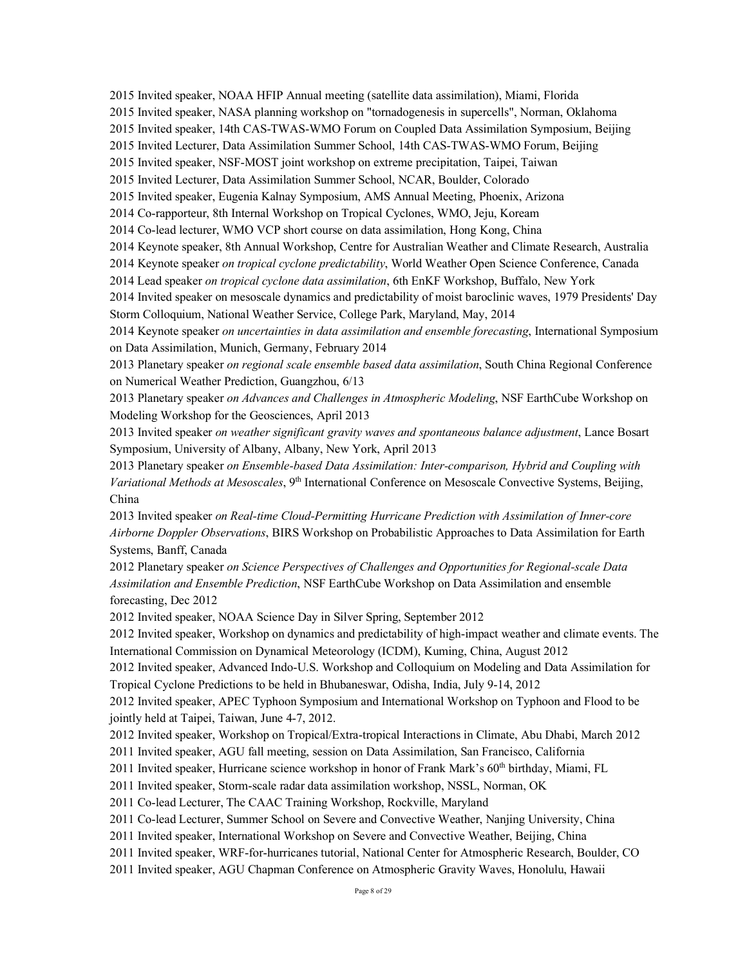2015 Invited speaker, NOAA HFIP Annual meeting (satellite data assimilation), Miami, Florida

2015 Invited speaker, NASA planning workshop on "tornadogenesis in supercells", Norman, Oklahoma

2015 Invited speaker, 14th CAS-TWAS-WMO Forum on Coupled Data Assimilation Symposium, Beijing

2015 Invited Lecturer, Data Assimilation Summer School, 14th CAS-TWAS-WMO Forum, Beijing

2015 Invited speaker, NSF-MOST joint workshop on extreme precipitation, Taipei, Taiwan

2015 Invited Lecturer, Data Assimilation Summer School, NCAR, Boulder, Colorado

2015 Invited speaker, Eugenia Kalnay Symposium, AMS Annual Meeting, Phoenix, Arizona

2014 Co-rapporteur, 8th Internal Workshop on Tropical Cyclones, WMO, Jeju, Koream

2014 Co-lead lecturer, WMO VCP short course on data assimilation, Hong Kong, China

2014 Keynote speaker, 8th Annual Workshop, Centre for Australian Weather and Climate Research, Australia

2014 Keynote speaker *on tropical cyclone predictability*, World Weather Open Science Conference, Canada

2014 Lead speaker *on tropical cyclone data assimilation*, 6th EnKF Workshop, Buffalo, New York

2014 Invited speaker on mesoscale dynamics and predictability of moist baroclinic waves, 1979 Presidents' Day Storm Colloquium, National Weather Service, College Park, Maryland, May, 2014

2014 Keynote speaker *on uncertainties in data assimilation and ensemble forecasting*, International Symposium on Data Assimilation, Munich, Germany, February 2014

2013 Planetary speaker *on regional scale ensemble based data assimilation*, South China Regional Conference on Numerical Weather Prediction, Guangzhou, 6/13

2013 Planetary speaker *on Advances and Challenges in Atmospheric Modeling*, NSF EarthCube Workshop on Modeling Workshop for the Geosciences, April 2013

2013 Invited speaker *on weather significant gravity waves and spontaneous balance adjustment*, Lance Bosart Symposium, University of Albany, Albany, New York, April 2013

2013 Planetary speaker *on Ensemble-based Data Assimilation: Inter-comparison, Hybrid and Coupling with Variational Methods at Mesoscales*, 9<sup>th</sup> International Conference on Mesoscale Convective Systems, Beijing, China

2013 Invited speaker *on Real-time Cloud-Permitting Hurricane Prediction with Assimilation of Inner-core Airborne Doppler Observations*, BIRS Workshop on Probabilistic Approaches to Data Assimilation for Earth Systems, Banff, Canada

2012 Planetary speaker *on Science Perspectives of Challenges and Opportunities for Regional-scale Data Assimilation and Ensemble Prediction*, NSF EarthCube Workshop on Data Assimilation and ensemble forecasting, Dec 2012

2012 Invited speaker, NOAA Science Day in Silver Spring, September 2012

2012 Invited speaker, Workshop on dynamics and predictability of high-impact weather and climate events. The International Commission on Dynamical Meteorology (ICDM), Kuming, China, August 2012

2012 Invited speaker, Advanced Indo-U.S. Workshop and Colloquium on Modeling and Data Assimilation for Tropical Cyclone Predictions to be held in Bhubaneswar, Odisha, India, July 9-14, 2012

2012 Invited speaker, APEC Typhoon Symposium and International Workshop on Typhoon and Flood to be jointly held at Taipei, Taiwan, June 4-7, 2012.

2012 Invited speaker, Workshop on Tropical/Extra-tropical Interactions in Climate, Abu Dhabi, March 2012

2011 Invited speaker, AGU fall meeting, session on Data Assimilation, San Francisco, California

2011 Invited speaker, Hurricane science workshop in honor of Frank Mark's 60<sup>th</sup> birthday, Miami, FL

2011 Invited speaker, Storm-scale radar data assimilation workshop, NSSL, Norman, OK

2011 Co-lead Lecturer, The CAAC Training Workshop, Rockville, Maryland

2011 Co-lead Lecturer, Summer School on Severe and Convective Weather, Nanjing University, China

2011 Invited speaker, International Workshop on Severe and Convective Weather, Beijing, China

2011 Invited speaker, WRF-for-hurricanes tutorial, National Center for Atmospheric Research, Boulder, CO

2011 Invited speaker, AGU Chapman Conference on Atmospheric Gravity Waves, Honolulu, Hawaii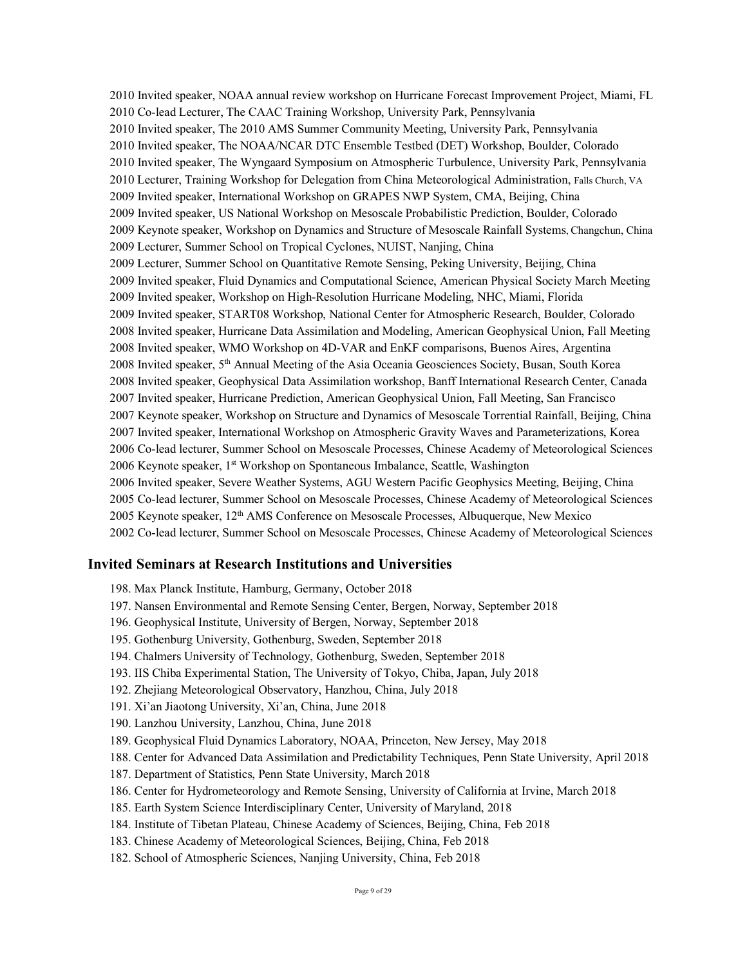2010 Invited speaker, NOAA annual review workshop on Hurricane Forecast Improvement Project, Miami, FL 2010 Co-lead Lecturer, The CAAC Training Workshop, University Park, Pennsylvania 2010 Invited speaker, The 2010 AMS Summer Community Meeting, University Park, Pennsylvania 2010 Invited speaker, The NOAA/NCAR DTC Ensemble Testbed (DET) Workshop, Boulder, Colorado 2010 Invited speaker, The Wyngaard Symposium on Atmospheric Turbulence, University Park, Pennsylvania 2010 Lecturer, Training Workshop for Delegation from China Meteorological Administration, Falls Church, VA 2009 Invited speaker, International Workshop on GRAPES NWP System, CMA, Beijing, China 2009 Invited speaker, US National Workshop on Mesoscale Probabilistic Prediction, Boulder, Colorado 2009 Keynote speaker, Workshop on Dynamics and Structure of Mesoscale Rainfall Systems, Changchun, China 2009 Lecturer, Summer School on Tropical Cyclones, NUIST, Nanjing, China 2009 Lecturer, Summer School on Quantitative Remote Sensing, Peking University, Beijing, China 2009 Invited speaker, Fluid Dynamics and Computational Science, American Physical Society March Meeting 2009 Invited speaker, Workshop on High-Resolution Hurricane Modeling, NHC, Miami, Florida 2009 Invited speaker, START08 Workshop, National Center for Atmospheric Research, Boulder, Colorado 2008 Invited speaker, Hurricane Data Assimilation and Modeling, American Geophysical Union, Fall Meeting 2008 Invited speaker, WMO Workshop on 4D-VAR and EnKF comparisons, Buenos Aires, Argentina 2008 Invited speaker, 5th Annual Meeting of the Asia Oceania Geosciences Society, Busan, South Korea 2008 Invited speaker, Geophysical Data Assimilation workshop, Banff International Research Center, Canada 2007 Invited speaker, Hurricane Prediction, American Geophysical Union, Fall Meeting, San Francisco 2007 Keynote speaker, Workshop on Structure and Dynamics of Mesoscale Torrential Rainfall, Beijing, China 2007 Invited speaker, International Workshop on Atmospheric Gravity Waves and Parameterizations, Korea 2006 Co-lead lecturer, Summer School on Mesoscale Processes, Chinese Academy of Meteorological Sciences 2006 Keynote speaker, 1<sup>st</sup> Workshop on Spontaneous Imbalance, Seattle, Washington 2006 Invited speaker, Severe Weather Systems, AGU Western Pacific Geophysics Meeting, Beijing, China 2005 Co-lead lecturer, Summer School on Mesoscale Processes, Chinese Academy of Meteorological Sciences 2005 Keynote speaker, 12<sup>th</sup> AMS Conference on Mesoscale Processes, Albuquerque, New Mexico 2002 Co-lead lecturer, Summer School on Mesoscale Processes, Chinese Academy of Meteorological Sciences

## **Invited Seminars at Research Institutions and Universities**

- 198. Max Planck Institute, Hamburg, Germany, October 2018
- 197. Nansen Environmental and Remote Sensing Center, Bergen, Norway, September 2018
- 196. Geophysical Institute, University of Bergen, Norway, September 2018
- 195. Gothenburg University, Gothenburg, Sweden, September 2018
- 194. Chalmers University of Technology, Gothenburg, Sweden, September 2018
- 193. IIS Chiba Experimental Station, The University of Tokyo, Chiba, Japan, July 2018
- 192. Zhejiang Meteorological Observatory, Hanzhou, China, July 2018
- 191. Xi'an Jiaotong University, Xi'an, China, June 2018
- 190. Lanzhou University, Lanzhou, China, June 2018
- 189. Geophysical Fluid Dynamics Laboratory, NOAA, Princeton, New Jersey, May 2018
- 188. Center for Advanced Data Assimilation and Predictability Techniques, Penn State University, April 2018
- 187. Department of Statistics, Penn State University, March 2018
- 186. Center for Hydrometeorology and Remote Sensing, University of California at Irvine, March 2018
- 185. Earth System Science Interdisciplinary Center, University of Maryland, 2018
- 184. Institute of Tibetan Plateau, Chinese Academy of Sciences, Beijing, China, Feb 2018
- 183. Chinese Academy of Meteorological Sciences, Beijing, China, Feb 2018
- 182. School of Atmospheric Sciences, Nanjing University, China, Feb 2018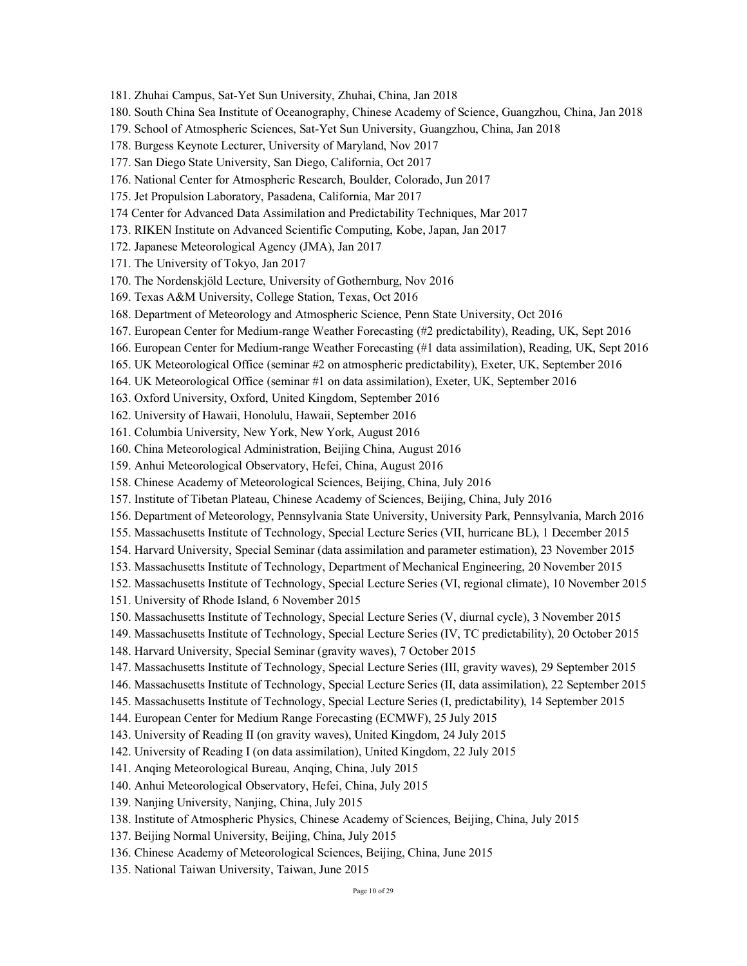181. Zhuhai Campus, Sat-Yet Sun University, Zhuhai, China, Jan 2018

- 180. South China Sea Institute of Oceanography, Chinese Academy of Science, Guangzhou, China, Jan 2018
- 179. School of Atmospheric Sciences, Sat-Yet Sun University, Guangzhou, China, Jan 2018
- 178. Burgess Keynote Lecturer, University of Maryland, Nov 2017
- 177. San Diego State University, San Diego, California, Oct 2017
- 176. National Center for Atmospheric Research, Boulder, Colorado, Jun 2017
- 175. Jet Propulsion Laboratory, Pasadena, California, Mar 2017
- 174 Center for Advanced Data Assimilation and Predictability Techniques, Mar 2017
- 173. RIKEN Institute on Advanced Scientific Computing, Kobe, Japan, Jan 2017
- 172. Japanese Meteorological Agency (JMA), Jan 2017
- 171. The University of Tokyo, Jan 2017
- 170. The Nordenskjöld Lecture, University of Gothernburg, Nov 2016
- 169. Texas A&M University, College Station, Texas, Oct 2016
- 168. Department of Meteorology and Atmospheric Science, Penn State University, Oct 2016
- 167. European Center for Medium-range Weather Forecasting (#2 predictability), Reading, UK, Sept 2016
- 166. European Center for Medium-range Weather Forecasting (#1 data assimilation), Reading, UK, Sept 2016
- 165. UK Meteorological Office (seminar #2 on atmospheric predictability), Exeter, UK, September 2016
- 164. UK Meteorological Office (seminar #1 on data assimilation), Exeter, UK, September 2016
- 163. Oxford University, Oxford, United Kingdom, September 2016
- 162. University of Hawaii, Honolulu, Hawaii, September 2016
- 161. Columbia University, New York, New York, August 2016
- 160. China Meteorological Administration, Beijing China, August 2016
- 159. Anhui Meteorological Observatory, Hefei, China, August 2016
- 158. Chinese Academy of Meteorological Sciences, Beijing, China, July 2016
- 157. Institute of Tibetan Plateau, Chinese Academy of Sciences, Beijing, China, July 2016
- 156. Department of Meteorology, Pennsylvania State University, University Park, Pennsylvania, March 2016
- 155. Massachusetts Institute of Technology, Special Lecture Series (VII, hurricane BL), 1 December 2015
- 154. Harvard University, Special Seminar (data assimilation and parameter estimation), 23 November 2015
- 153. Massachusetts Institute of Technology, Department of Mechanical Engineering, 20 November 2015
- 152. Massachusetts Institute of Technology, Special Lecture Series (VI, regional climate), 10 November 2015
- 151. University of Rhode Island, 6 November 2015
- 150. Massachusetts Institute of Technology, Special Lecture Series (V, diurnal cycle), 3 November 2015
- 149. Massachusetts Institute of Technology, Special Lecture Series (IV, TC predictability), 20 October 2015
- 148. Harvard University, Special Seminar (gravity waves), 7 October 2015
- 147. Massachusetts Institute of Technology, Special Lecture Series (III, gravity waves), 29 September 2015
- 146. Massachusetts Institute of Technology, Special Lecture Series (II, data assimilation), 22 September 2015
- 145. Massachusetts Institute of Technology, Special Lecture Series (I, predictability), 14 September 2015
- 144. European Center for Medium Range Forecasting (ECMWF), 25 July 2015
- 143. University of Reading II (on gravity waves), United Kingdom, 24 July 2015
- 142. University of Reading I (on data assimilation), United Kingdom, 22 July 2015
- 141. Anqing Meteorological Bureau, Anqing, China, July 2015
- 140. Anhui Meteorological Observatory, Hefei, China, July 2015
- 139. Nanjing University, Nanjing, China, July 2015
- 138. Institute of Atmospheric Physics, Chinese Academy of Sciences, Beijing, China, July 2015
- 137. Beijing Normal University, Beijing, China, July 2015
- 136. Chinese Academy of Meteorological Sciences, Beijing, China, June 2015
- 135. National Taiwan University, Taiwan, June 2015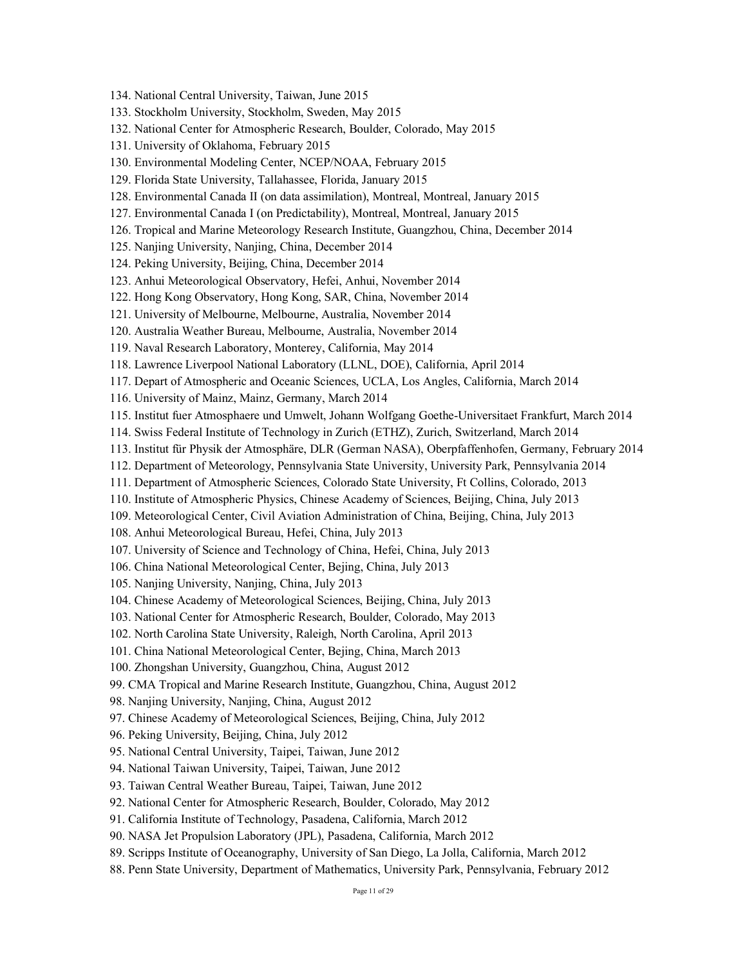- 134. National Central University, Taiwan, June 2015
- 133. Stockholm University, Stockholm, Sweden, May 2015
- 132. National Center for Atmospheric Research, Boulder, Colorado, May 2015
- 131. University of Oklahoma, February 2015
- 130. Environmental Modeling Center, NCEP/NOAA, February 2015
- 129. Florida State University, Tallahassee, Florida, January 2015
- 128. Environmental Canada II (on data assimilation), Montreal, Montreal, January 2015
- 127. Environmental Canada I (on Predictability), Montreal, Montreal, January 2015
- 126. Tropical and Marine Meteorology Research Institute, Guangzhou, China, December 2014
- 125. Nanjing University, Nanjing, China, December 2014
- 124. Peking University, Beijing, China, December 2014
- 123. Anhui Meteorological Observatory, Hefei, Anhui, November 2014
- 122. Hong Kong Observatory, Hong Kong, SAR, China, November 2014
- 121. University of Melbourne, Melbourne, Australia, November 2014
- 120. Australia Weather Bureau, Melbourne, Australia, November 2014
- 119. Naval Research Laboratory, Monterey, California, May 2014
- 118. Lawrence Liverpool National Laboratory (LLNL, DOE), California, April 2014
- 117. Depart of Atmospheric and Oceanic Sciences, UCLA, Los Angles, California, March 2014
- 116. University of Mainz, Mainz, Germany, March 2014
- 115. Institut fuer Atmosphaere und Umwelt, Johann Wolfgang Goethe-Universitaet Frankfurt, March 2014
- 114. Swiss Federal Institute of Technology in Zurich (ETHZ), Zurich, Switzerland, March 2014
- 113. Institut für Physik der Atmosphäre, DLR (German NASA), Oberpfaffenhofen, Germany, February 2014
- 112. Department of Meteorology, Pennsylvania State University, University Park, Pennsylvania 2014
- 111. Department of Atmospheric Sciences, Colorado State University, Ft Collins, Colorado, 2013
- 110. Institute of Atmospheric Physics, Chinese Academy of Sciences, Beijing, China, July 2013
- 109. Meteorological Center, Civil Aviation Administration of China, Beijing, China, July 2013
- 108. Anhui Meteorological Bureau, Hefei, China, July 2013
- 107. University of Science and Technology of China, Hefei, China, July 2013
- 106. China National Meteorological Center, Bejing, China, July 2013
- 105. Nanjing University, Nanjing, China, July 2013
- 104. Chinese Academy of Meteorological Sciences, Beijing, China, July 2013
- 103. National Center for Atmospheric Research, Boulder, Colorado, May 2013
- 102. North Carolina State University, Raleigh, North Carolina, April 2013
- 101. China National Meteorological Center, Bejing, China, March 2013
- 100. Zhongshan University, Guangzhou, China, August 2012
- 99. CMA Tropical and Marine Research Institute, Guangzhou, China, August 2012
- 98. Nanjing University, Nanjing, China, August 2012
- 97. Chinese Academy of Meteorological Sciences, Beijing, China, July 2012
- 96. Peking University, Beijing, China, July 2012
- 95. National Central University, Taipei, Taiwan, June 2012
- 94. National Taiwan University, Taipei, Taiwan, June 2012
- 93. Taiwan Central Weather Bureau, Taipei, Taiwan, June 2012
- 92. National Center for Atmospheric Research, Boulder, Colorado, May 2012
- 91. California Institute of Technology, Pasadena, California, March 2012
- 90. NASA Jet Propulsion Laboratory (JPL), Pasadena, California, March 2012
- 89. Scripps Institute of Oceanography, University of San Diego, La Jolla, California, March 2012
- 88. Penn State University, Department of Mathematics, University Park, Pennsylvania, February 2012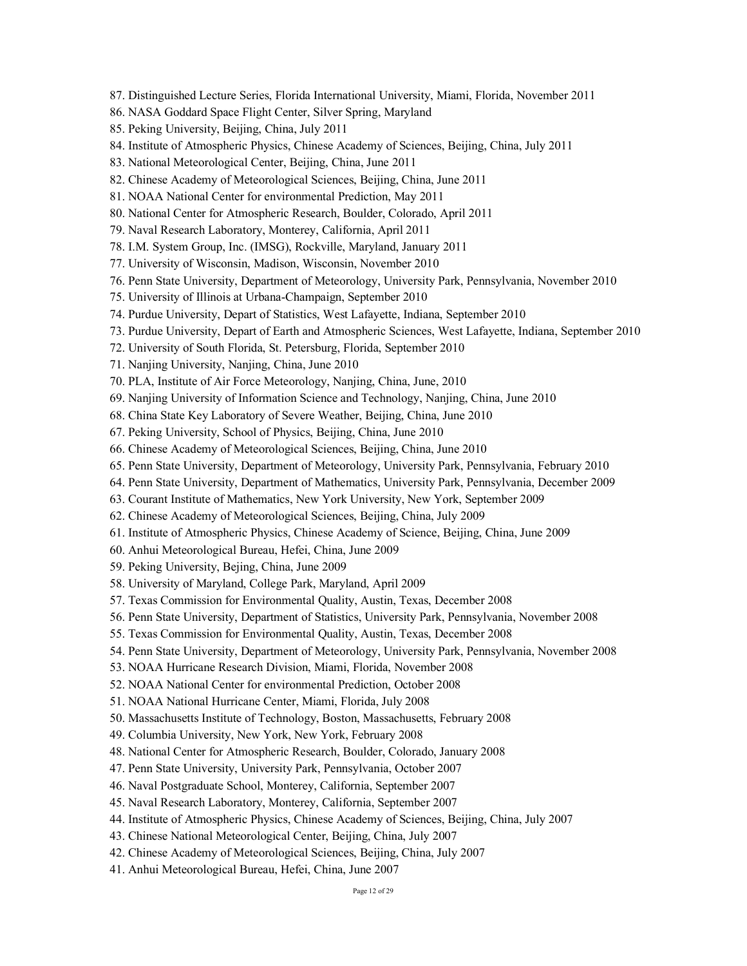- 87. Distinguished Lecture Series, Florida International University, Miami, Florida, November 2011
- 86. NASA Goddard Space Flight Center, Silver Spring, Maryland
- 85. Peking University, Beijing, China, July 2011
- 84. Institute of Atmospheric Physics, Chinese Academy of Sciences, Beijing, China, July 2011
- 83. National Meteorological Center, Beijing, China, June 2011
- 82. Chinese Academy of Meteorological Sciences, Beijing, China, June 2011
- 81. NOAA National Center for environmental Prediction, May 2011
- 80. National Center for Atmospheric Research, Boulder, Colorado, April 2011
- 79. Naval Research Laboratory, Monterey, California, April 2011
- 78. I.M. System Group, Inc. (IMSG), Rockville, Maryland, January 2011
- 77. University of Wisconsin, Madison, Wisconsin, November 2010
- 76. Penn State University, Department of Meteorology, University Park, Pennsylvania, November 2010
- 75. University of Illinois at Urbana-Champaign, September 2010
- 74. Purdue University, Depart of Statistics, West Lafayette, Indiana, September 2010
- 73. Purdue University, Depart of Earth and Atmospheric Sciences, West Lafayette, Indiana, September 2010
- 72. University of South Florida, St. Petersburg, Florida, September 2010
- 71. Nanjing University, Nanjing, China, June 2010
- 70. PLA, Institute of Air Force Meteorology, Nanjing, China, June, 2010
- 69. Nanjing University of Information Science and Technology, Nanjing, China, June 2010
- 68. China State Key Laboratory of Severe Weather, Beijing, China, June 2010
- 67. Peking University, School of Physics, Beijing, China, June 2010
- 66. Chinese Academy of Meteorological Sciences, Beijing, China, June 2010
- 65. Penn State University, Department of Meteorology, University Park, Pennsylvania, February 2010
- 64. Penn State University, Department of Mathematics, University Park, Pennsylvania, December 2009
- 63. Courant Institute of Mathematics, New York University, New York, September 2009
- 62. Chinese Academy of Meteorological Sciences, Beijing, China, July 2009
- 61. Institute of Atmospheric Physics, Chinese Academy of Science, Beijing, China, June 2009
- 60. Anhui Meteorological Bureau, Hefei, China, June 2009
- 59. Peking University, Bejing, China, June 2009
- 58. University of Maryland, College Park, Maryland, April 2009
- 57. Texas Commission for Environmental Quality, Austin, Texas, December 2008
- 56. Penn State University, Department of Statistics, University Park, Pennsylvania, November 2008
- 55. Texas Commission for Environmental Quality, Austin, Texas, December 2008
- 54. Penn State University, Department of Meteorology, University Park, Pennsylvania, November 2008
- 53. NOAA Hurricane Research Division, Miami, Florida, November 2008
- 52. NOAA National Center for environmental Prediction, October 2008
- 51. NOAA National Hurricane Center, Miami, Florida, July 2008
- 50. Massachusetts Institute of Technology, Boston, Massachusetts, February 2008
- 49. Columbia University, New York, New York, February 2008
- 48. National Center for Atmospheric Research, Boulder, Colorado, January 2008
- 47. Penn State University, University Park, Pennsylvania, October 2007
- 46. Naval Postgraduate School, Monterey, California, September 2007
- 45. Naval Research Laboratory, Monterey, California, September 2007
- 44. Institute of Atmospheric Physics, Chinese Academy of Sciences, Beijing, China, July 2007
- 43. Chinese National Meteorological Center, Beijing, China, July 2007
- 42. Chinese Academy of Meteorological Sciences, Beijing, China, July 2007
- 41. Anhui Meteorological Bureau, Hefei, China, June 2007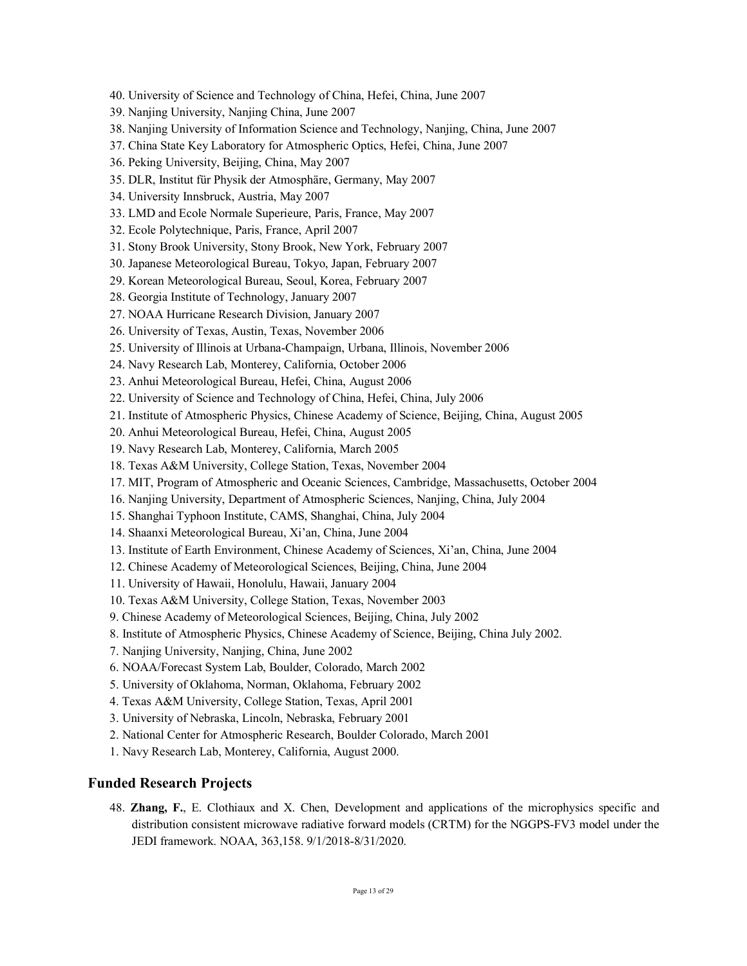- 40. University of Science and Technology of China, Hefei, China, June 2007
- 39. Nanjing University, Nanjing China, June 2007
- 38. Nanjing University of Information Science and Technology, Nanjing, China, June 2007
- 37. China State Key Laboratory for Atmospheric Optics, Hefei, China, June 2007
- 36. Peking University, Beijing, China, May 2007
- 35. DLR, Institut für Physik der Atmosphäre, Germany, May 2007
- 34. University Innsbruck, Austria, May 2007
- 33. LMD and Ecole Normale Superieure, Paris, France, May 2007
- 32. Ecole Polytechnique, Paris, France, April 2007
- 31. Stony Brook University, Stony Brook, New York, February 2007
- 30. Japanese Meteorological Bureau, Tokyo, Japan, February 2007
- 29. Korean Meteorological Bureau, Seoul, Korea, February 2007
- 28. Georgia Institute of Technology, January 2007
- 27. NOAA Hurricane Research Division, January 2007
- 26. University of Texas, Austin, Texas, November 2006
- 25. University of Illinois at Urbana-Champaign, Urbana, Illinois, November 2006
- 24. Navy Research Lab, Monterey, California, October 2006
- 23. Anhui Meteorological Bureau, Hefei, China, August 2006
- 22. University of Science and Technology of China, Hefei, China, July 2006
- 21. Institute of Atmospheric Physics, Chinese Academy of Science, Beijing, China, August 2005
- 20. Anhui Meteorological Bureau, Hefei, China, August 2005
- 19. Navy Research Lab, Monterey, California, March 2005
- 18. Texas A&M University, College Station, Texas, November 2004
- 17. MIT, Program of Atmospheric and Oceanic Sciences, Cambridge, Massachusetts, October 2004
- 16. Nanjing University, Department of Atmospheric Sciences, Nanjing, China, July 2004
- 15. Shanghai Typhoon Institute, CAMS, Shanghai, China, July 2004
- 14. Shaanxi Meteorological Bureau, Xi'an, China, June 2004
- 13. Institute of Earth Environment, Chinese Academy of Sciences, Xi'an, China, June 2004
- 12. Chinese Academy of Meteorological Sciences, Beijing, China, June 2004
- 11. University of Hawaii, Honolulu, Hawaii, January 2004
- 10. Texas A&M University, College Station, Texas, November 2003
- 9. Chinese Academy of Meteorological Sciences, Beijing, China, July 2002
- 8. Institute of Atmospheric Physics, Chinese Academy of Science, Beijing, China July 2002.
- 7. Nanjing University, Nanjing, China, June 2002
- 6. NOAA/Forecast System Lab, Boulder, Colorado, March 2002
- 5. University of Oklahoma, Norman, Oklahoma, February 2002
- 4. Texas A&M University, College Station, Texas, April 2001
- 3. University of Nebraska, Lincoln, Nebraska, February 2001
- 2. National Center for Atmospheric Research, Boulder Colorado, March 2001
- 1. Navy Research Lab, Monterey, California, August 2000.

### **Funded Research Projects**

48. **Zhang, F.**, E. Clothiaux and X. Chen, Development and applications of the microphysics specific and distribution consistent microwave radiative forward models (CRTM) for the NGGPS-FV3 model under the JEDI framework. NOAA, 363,158. 9/1/2018-8/31/2020.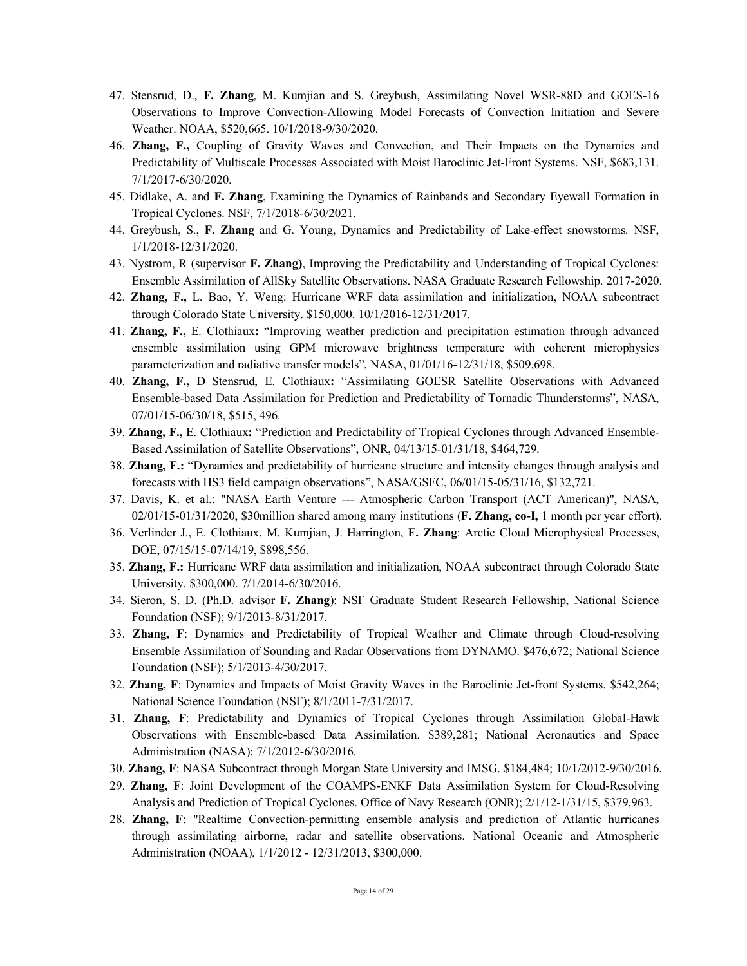- 47. Stensrud, D., **F. Zhang**, M. Kumjian and S. Greybush, Assimilating Novel WSR-88D and GOES-16 Observations to Improve Convection-Allowing Model Forecasts of Convection Initiation and Severe Weather. NOAA, \$520,665. 10/1/2018-9/30/2020.
- 46. **Zhang, F.,** Coupling of Gravity Waves and Convection, and Their Impacts on the Dynamics and Predictability of Multiscale Processes Associated with Moist Baroclinic Jet-Front Systems. NSF, \$683,131. 7/1/2017-6/30/2020.
- 45. Didlake, A. and **F. Zhang**, Examining the Dynamics of Rainbands and Secondary Eyewall Formation in Tropical Cyclones. NSF, 7/1/2018-6/30/2021.
- 44. Greybush, S., **F. Zhang** and G. Young, Dynamics and Predictability of Lake-effect snowstorms. NSF, 1/1/2018-12/31/2020.
- 43. Nystrom, R (supervisor **F. Zhang)**, Improving the Predictability and Understanding of Tropical Cyclones: Ensemble Assimilation of AllSky Satellite Observations. NASA Graduate Research Fellowship. 2017-2020.
- 42. **Zhang, F.,** L. Bao, Y. Weng: Hurricane WRF data assimilation and initialization, NOAA subcontract through Colorado State University. \$150,000. 10/1/2016-12/31/2017.
- 41. **Zhang, F.,** E. Clothiaux**:** "Improving weather prediction and precipitation estimation through advanced ensemble assimilation using GPM microwave brightness temperature with coherent microphysics parameterization and radiative transfer models", NASA, 01/01/16-12/31/18, \$509,698.
- 40. **Zhang, F.,** D Stensrud, E. Clothiaux**:** "Assimilating GOESR Satellite Observations with Advanced Ensemble-based Data Assimilation for Prediction and Predictability of Tornadic Thunderstorms", NASA, 07/01/15-06/30/18, \$515, 496.
- 39. **Zhang, F.,** E. Clothiaux**:** "Prediction and Predictability of Tropical Cyclones through Advanced Ensemble-Based Assimilation of Satellite Observations", ONR, 04/13/15-01/31/18, \$464,729.
- 38. **Zhang, F.:** "Dynamics and predictability of hurricane structure and intensity changes through analysis and forecasts with HS3 field campaign observations", NASA/GSFC, 06/01/15-05/31/16, \$132,721.
- 37. Davis, K. et al.: "NASA Earth Venture --- Atmospheric Carbon Transport (ACT American)", NASA, 02/01/15-01/31/2020, \$30million shared among many institutions (**F. Zhang, co-I,** 1 month per year effort).
- 36. Verlinder J., E. Clothiaux, M. Kumjian, J. Harrington, **F. Zhang**: Arctic Cloud Microphysical Processes, DOE, 07/15/15-07/14/19, \$898,556.
- 35. **Zhang, F.:** Hurricane WRF data assimilation and initialization, NOAA subcontract through Colorado State University. \$300,000. 7/1/2014-6/30/2016.
- 34. Sieron, S. D. (Ph.D. advisor **F. Zhang**): NSF Graduate Student Research Fellowship, National Science Foundation (NSF); 9/1/2013-8/31/2017.
- 33. **Zhang, F**: Dynamics and Predictability of Tropical Weather and Climate through Cloud-resolving Ensemble Assimilation of Sounding and Radar Observations from DYNAMO. \$476,672; National Science Foundation (NSF); 5/1/2013-4/30/2017.
- 32. **Zhang, F**: Dynamics and Impacts of Moist Gravity Waves in the Baroclinic Jet-front Systems. \$542,264; National Science Foundation (NSF); 8/1/2011-7/31/2017.
- 31. **Zhang, F**: Predictability and Dynamics of Tropical Cyclones through Assimilation Global-Hawk Observations with Ensemble-based Data Assimilation. \$389,281; National Aeronautics and Space Administration (NASA); 7/1/2012-6/30/2016.
- 30. **Zhang, F**: NASA Subcontract through Morgan State University and IMSG. \$184,484; 10/1/2012-9/30/2016.
- 29. **Zhang, F**: Joint Development of the COAMPS-ENKF Data Assimilation System for Cloud-Resolving Analysis and Prediction of Tropical Cyclones. Office of Navy Research (ONR); 2/1/12-1/31/15, \$379,963.
- 28. **Zhang, F**: "Realtime Convection-permitting ensemble analysis and prediction of Atlantic hurricanes through assimilating airborne, radar and satellite observations. National Oceanic and Atmospheric Administration (NOAA), 1/1/2012 - 12/31/2013, \$300,000.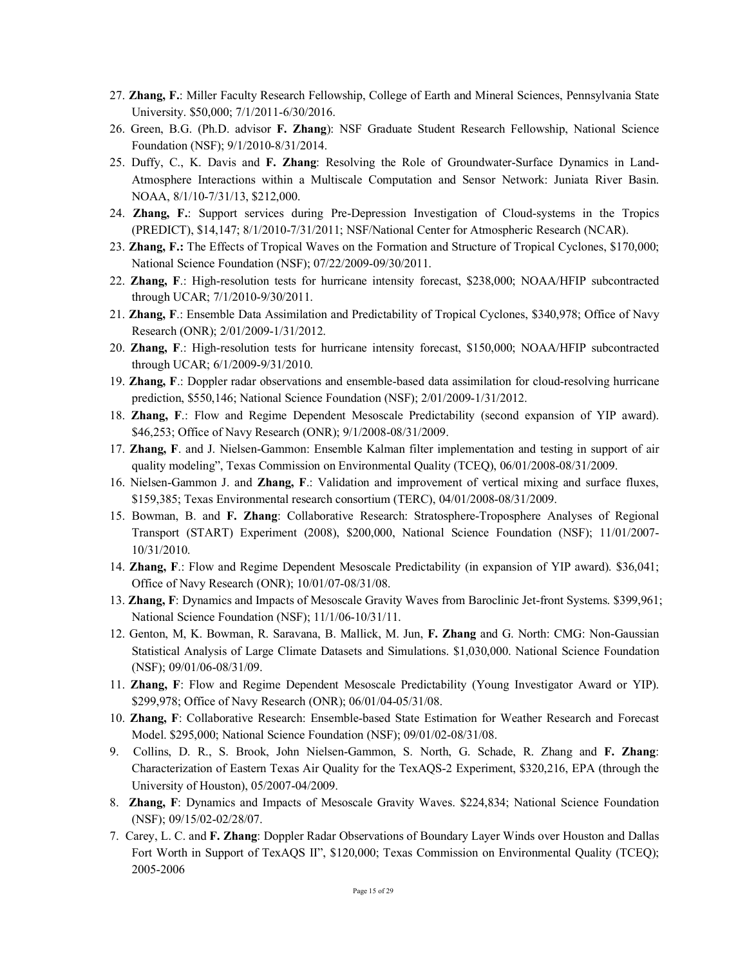- 27. **Zhang, F.**: Miller Faculty Research Fellowship, College of Earth and Mineral Sciences, Pennsylvania State University. \$50,000; 7/1/2011-6/30/2016.
- 26. Green, B.G. (Ph.D. advisor **F. Zhang**): NSF Graduate Student Research Fellowship, National Science Foundation (NSF); 9/1/2010-8/31/2014.
- 25. Duffy, C., K. Davis and **F. Zhang**: Resolving the Role of Groundwater-Surface Dynamics in Land-Atmosphere Interactions within a Multiscale Computation and Sensor Network: Juniata River Basin. NOAA, 8/1/10-7/31/13, \$212,000.
- 24. **Zhang, F.**: Support services during Pre-Depression Investigation of Cloud-systems in the Tropics (PREDICT), \$14,147; 8/1/2010-7/31/2011; NSF/National Center for Atmospheric Research (NCAR).
- 23. **Zhang, F.:** The Effects of Tropical Waves on the Formation and Structure of Tropical Cyclones, \$170,000; National Science Foundation (NSF); 07/22/2009-09/30/2011.
- 22. **Zhang, F**.: High-resolution tests for hurricane intensity forecast, \$238,000; NOAA/HFIP subcontracted through UCAR; 7/1/2010-9/30/2011.
- 21. **Zhang, F**.: Ensemble Data Assimilation and Predictability of Tropical Cyclones, \$340,978; Office of Navy Research (ONR); 2/01/2009-1/31/2012.
- 20. **Zhang, F**.: High-resolution tests for hurricane intensity forecast, \$150,000; NOAA/HFIP subcontracted through UCAR; 6/1/2009-9/31/2010.
- 19. **Zhang, F**.: Doppler radar observations and ensemble-based data assimilation for cloud-resolving hurricane prediction, \$550,146; National Science Foundation (NSF); 2/01/2009-1/31/2012.
- 18. **Zhang, F**.: Flow and Regime Dependent Mesoscale Predictability (second expansion of YIP award). \$46,253; Office of Navy Research (ONR); 9/1/2008-08/31/2009.
- 17. **Zhang, F**. and J. Nielsen-Gammon: Ensemble Kalman filter implementation and testing in support of air quality modeling", Texas Commission on Environmental Quality (TCEQ), 06/01/2008-08/31/2009.
- 16. Nielsen-Gammon J. and **Zhang, F**.: Validation and improvement of vertical mixing and surface fluxes, \$159,385; Texas Environmental research consortium (TERC), 04/01/2008-08/31/2009.
- 15. Bowman, B. and **F. Zhang**: Collaborative Research: Stratosphere-Troposphere Analyses of Regional Transport (START) Experiment (2008), \$200,000, National Science Foundation (NSF); 11/01/2007- 10/31/2010.
- 14. **Zhang, F**.: Flow and Regime Dependent Mesoscale Predictability (in expansion of YIP award). \$36,041; Office of Navy Research (ONR); 10/01/07-08/31/08.
- 13. **Zhang, F**: Dynamics and Impacts of Mesoscale Gravity Waves from Baroclinic Jet-front Systems. \$399,961; National Science Foundation (NSF); 11/1/06-10/31/11.
- 12. Genton, M, K. Bowman, R. Saravana, B. Mallick, M. Jun, **F. Zhang** and G. North: CMG: Non-Gaussian Statistical Analysis of Large Climate Datasets and Simulations. \$1,030,000. National Science Foundation (NSF); 09/01/06-08/31/09.
- 11. **Zhang, F**: Flow and Regime Dependent Mesoscale Predictability (Young Investigator Award or YIP). \$299,978; Office of Navy Research (ONR); 06/01/04-05/31/08.
- 10. **Zhang, F**: Collaborative Research: Ensemble-based State Estimation for Weather Research and Forecast Model. \$295,000; National Science Foundation (NSF); 09/01/02-08/31/08.
- 9. Collins, D. R., S. Brook, John Nielsen-Gammon, S. North, G. Schade, R. Zhang and **F. Zhang**: Characterization of Eastern Texas Air Quality for the TexAQS-2 Experiment, \$320,216, EPA (through the University of Houston), 05/2007-04/2009.
- 8. **Zhang, F**: Dynamics and Impacts of Mesoscale Gravity Waves. \$224,834; National Science Foundation (NSF); 09/15/02-02/28/07.
- 7. Carey, L. C. and **F. Zhang**: Doppler Radar Observations of Boundary Layer Winds over Houston and Dallas Fort Worth in Support of TexAQS II", \$120,000; Texas Commission on Environmental Quality (TCEQ); 2005-2006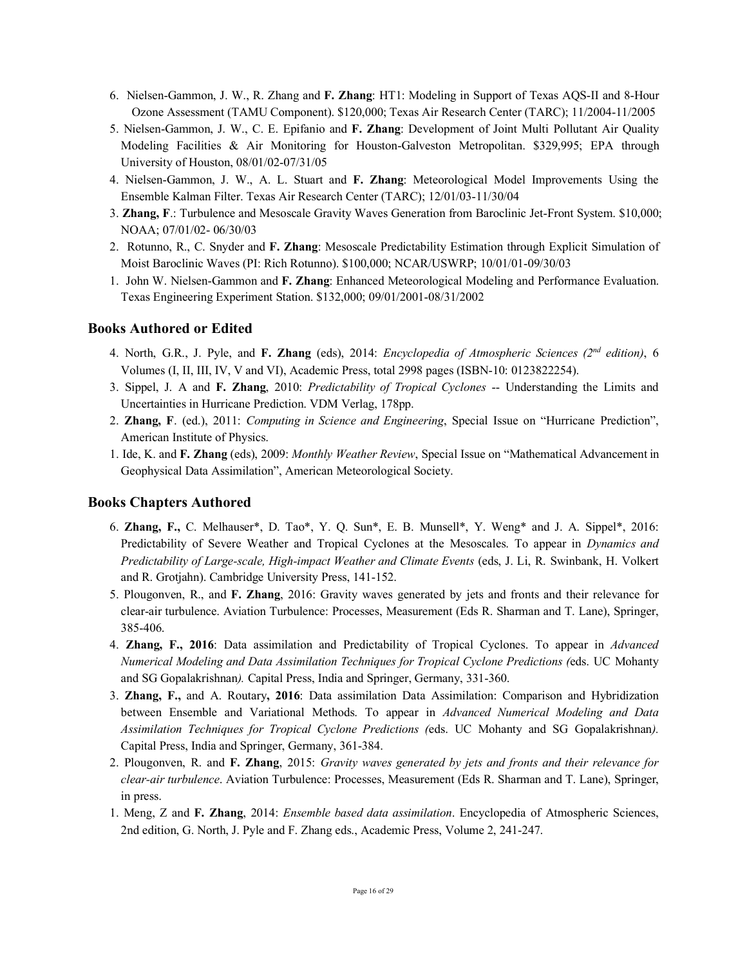- 6. Nielsen-Gammon, J. W., R. Zhang and **F. Zhang**: HT1: Modeling in Support of Texas AQS-II and 8-Hour Ozone Assessment (TAMU Component). \$120,000; Texas Air Research Center (TARC); 11/2004-11/2005
- 5. Nielsen-Gammon, J. W., C. E. Epifanio and **F. Zhang**: Development of Joint Multi Pollutant Air Quality Modeling Facilities & Air Monitoring for Houston-Galveston Metropolitan. \$329,995; EPA through University of Houston, 08/01/02-07/31/05
- 4. Nielsen-Gammon, J. W., A. L. Stuart and **F. Zhang**: Meteorological Model Improvements Using the Ensemble Kalman Filter. Texas Air Research Center (TARC); 12/01/03-11/30/04
- 3. **Zhang, F**.: Turbulence and Mesoscale Gravity Waves Generation from Baroclinic Jet-Front System. \$10,000; NOAA; 07/01/02- 06/30/03
- 2. Rotunno, R., C. Snyder and **F. Zhang**: Mesoscale Predictability Estimation through Explicit Simulation of Moist Baroclinic Waves (PI: Rich Rotunno). \$100,000; NCAR/USWRP; 10/01/01-09/30/03
- 1. John W. Nielsen-Gammon and **F. Zhang**: Enhanced Meteorological Modeling and Performance Evaluation. Texas Engineering Experiment Station. \$132,000; 09/01/2001-08/31/2002

# **Books Authored or Edited**

- 4. North, G.R., J. Pyle, and **F. Zhang** (eds), 2014: *Encyclopedia of Atmospheric Sciences (2nd edition)*, 6 Volumes (I, II, III, IV, V and VI), Academic Press, total 2998 pages (ISBN-10: 0123822254).
- 3. Sippel, J. A and **F. Zhang**, 2010: *Predictability of Tropical Cyclones* -- Understanding the Limits and Uncertainties in Hurricane Prediction. VDM Verlag, 178pp.
- 2. **Zhang, F**. (ed.), 2011: *Computing in Science and Engineering*, Special Issue on "Hurricane Prediction", American Institute of Physics.
- 1. Ide, K. and **F. Zhang** (eds), 2009: *Monthly Weather Review*, Special Issue on "Mathematical Advancement in Geophysical Data Assimilation", American Meteorological Society.

## **Books Chapters Authored**

- 6. **Zhang, F.,** C. Melhauser\*, D. Tao\*, Y. Q. Sun\*, E. B. Munsell\*, Y. Weng\* and J. A. Sippel\*, 2016: Predictability of Severe Weather and Tropical Cyclones at the Mesoscales. To appear in *Dynamics and Predictability of Large-scale, High-impact Weather and Climate Events* (eds, J. Li, R. Swinbank, H. Volkert and R. Grotjahn). Cambridge University Press, 141-152.
- 5. Plougonven, R., and **F. Zhang**, 2016: Gravity waves generated by jets and fronts and their relevance for clear-air turbulence. Aviation Turbulence: Processes, Measurement (Eds R. Sharman and T. Lane), Springer, 385-406.
- 4. **Zhang, F., 2016**: Data assimilation and Predictability of Tropical Cyclones. To appear in *Advanced Numerical Modeling and Data Assimilation Techniques for Tropical Cyclone Predictions (*eds. UC Mohanty and SG Gopalakrishnan*).* Capital Press, India and Springer, Germany, 331-360.
- 3. **Zhang, F.,** and A. Routary**, 2016**: Data assimilation Data Assimilation: Comparison and Hybridization between Ensemble and Variational Methods. To appear in *Advanced Numerical Modeling and Data Assimilation Techniques for Tropical Cyclone Predictions (*eds. UC Mohanty and SG Gopalakrishnan*).*  Capital Press, India and Springer, Germany, 361-384.
- 2. Plougonven, R. and **F. Zhang**, 2015: *Gravity waves generated by jets and fronts and their relevance for clear-air turbulence*. Aviation Turbulence: Processes, Measurement (Eds R. Sharman and T. Lane), Springer, in press.
- 1. Meng, Z and **F. Zhang**, 2014: *Ensemble based data assimilation*. Encyclopedia of Atmospheric Sciences, 2nd edition, G. North, J. Pyle and F. Zhang eds., Academic Press, Volume 2, 241-247.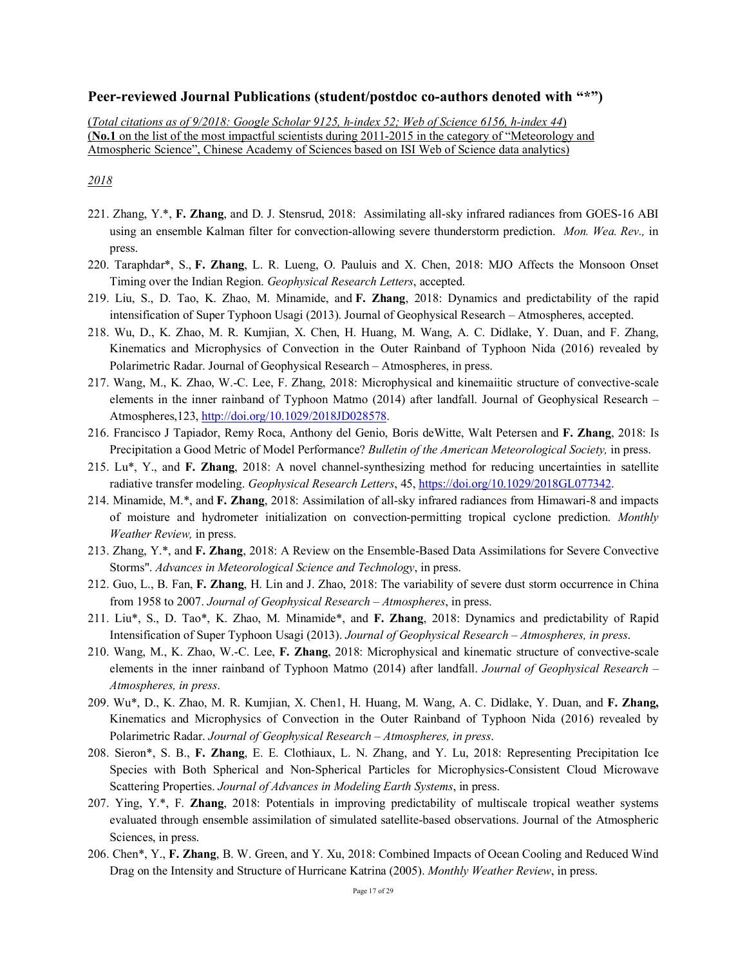# **Peer-reviewed Journal Publications (student/postdoc co-authors denoted with "\*")**

(*Total citations as of 9/2018: Google Scholar 9125, h-index 52; Web of Science 6156, h-index 44*) (**No.1** on the list of the most impactful scientists during 2011-2015 in the category of "Meteorology and Atmospheric Science", Chinese Academy of Sciences based on ISI Web of Science data analytics)

- 221. Zhang, Y.\*, **F. Zhang**, and D. J. Stensrud, 2018: Assimilating all-sky infrared radiances from GOES-16 ABI using an ensemble Kalman filter for convection-allowing severe thunderstorm prediction. *Mon. Wea. Rev.,* in press.
- 220. Taraphdar\*, S., **F. Zhang**, L. R. Lueng, O. Pauluis and X. Chen, 2018: MJO Affects the Monsoon Onset Timing over the Indian Region. *Geophysical Research Letters*, accepted.
- 219. Liu, S., D. Tao, K. Zhao, M. Minamide, and **F. Zhang**, 2018: Dynamics and predictability of the rapid intensification of Super Typhoon Usagi (2013). Journal of Geophysical Research – Atmospheres, accepted.
- 218. Wu, D., K. Zhao, M. R. Kumjian, X. Chen, H. Huang, M. Wang, A. C. Didlake, Y. Duan, and F. Zhang, Kinematics and Microphysics of Convection in the Outer Rainband of Typhoon Nida (2016) revealed by Polarimetric Radar. Journal of Geophysical Research – Atmospheres, in press.
- 217. Wang, M., K. Zhao, W.-C. Lee, F. Zhang, 2018: Microphysical and kinemaiitic structure of convective-scale elements in the inner rainband of Typhoon Matmo (2014) after landfall. Journal of Geophysical Research – Atmospheres,123, http://doi.org/10.1029/2018JD028578.
- 216. Francisco J Tapiador, Remy Roca, Anthony del Genio, Boris deWitte, Walt Petersen and **F. Zhang**, 2018: Is Precipitation a Good Metric of Model Performance? *Bulletin of the American Meteorological Society,* in press.
- 215. Lu\*, Y., and **F. Zhang**, 2018: A novel channel-synthesizing method for reducing uncertainties in satellite radiative transfer modeling. *Geophysical Research Letters*, 45, https://doi.org/10.1029/2018GL077342.
- 214. Minamide, M.\*, and **F. Zhang**, 2018: Assimilation of all-sky infrared radiances from Himawari-8 and impacts of moisture and hydrometer initialization on convection-permitting tropical cyclone prediction. *Monthly Weather Review,* in press.
- 213. Zhang, Y.\*, and **F. Zhang**, 2018: A Review on the Ensemble-Based Data Assimilations for Severe Convective Storms". *Advances in Meteorological Science and Technology*, in press.
- 212. Guo, L., B. Fan, **F. Zhang**, H. Lin and J. Zhao, 2018: The variability of severe dust storm occurrence in China from 1958 to 2007. *Journal of Geophysical Research – Atmospheres*, in press.
- 211. Liu\*, S., D. Tao\*, K. Zhao, M. Minamide\*, and **F. Zhang**, 2018: Dynamics and predictability of Rapid Intensification of Super Typhoon Usagi (2013). *Journal of Geophysical Research – Atmospheres, in press*.
- 210. Wang, M., K. Zhao, W.-C. Lee, **F. Zhang**, 2018: Microphysical and kinematic structure of convective-scale elements in the inner rainband of Typhoon Matmo (2014) after landfall. *Journal of Geophysical Research – Atmospheres, in press*.
- 209. Wu\*, D., K. Zhao, M. R. Kumjian, X. Chen1, H. Huang, M. Wang, A. C. Didlake, Y. Duan, and **F. Zhang,**  Kinematics and Microphysics of Convection in the Outer Rainband of Typhoon Nida (2016) revealed by Polarimetric Radar. *Journal of Geophysical Research – Atmospheres, in press*.
- 208. Sieron\*, S. B., **F. Zhang**, E. E. Clothiaux, L. N. Zhang, and Y. Lu, 2018: Representing Precipitation Ice Species with Both Spherical and Non-Spherical Particles for Microphysics-Consistent Cloud Microwave Scattering Properties. *Journal of Advances in Modeling Earth Systems*, in press.
- 207. Ying, Y.\*, F. **Zhang**, 2018: Potentials in improving predictability of multiscale tropical weather systems evaluated through ensemble assimilation of simulated satellite-based observations. Journal of the Atmospheric Sciences, in press.
- 206. Chen\*, Y., **F. Zhang**, B. W. Green, and Y. Xu, 2018: Combined Impacts of Ocean Cooling and Reduced Wind Drag on the Intensity and Structure of Hurricane Katrina (2005). *Monthly Weather Review*, in press.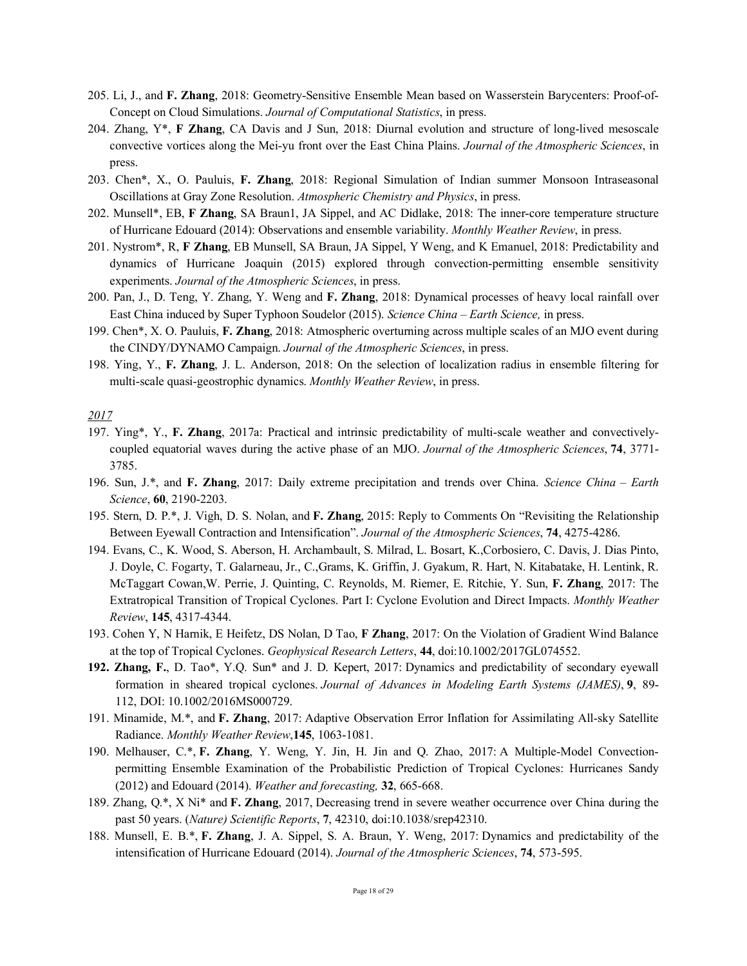- 205. Li, J., and **F. Zhang**, 2018: Geometry-Sensitive Ensemble Mean based on Wasserstein Barycenters: Proof-of-Concept on Cloud Simulations. *Journal of Computational Statistics*, in press.
- 204. Zhang, Y\*, **F Zhang**, CA Davis and J Sun, 2018: Diurnal evolution and structure of long-lived mesoscale convective vortices along the Mei-yu front over the East China Plains. *Journal of the Atmospheric Sciences*, in press.
- 203. Chen\*, X., O. Pauluis, **F. Zhang**, 2018: Regional Simulation of Indian summer Monsoon Intraseasonal Oscillations at Gray Zone Resolution. *Atmospheric Chemistry and Physics*, in press.
- 202. Munsell\*, EB, **F Zhang**, SA Braun1, JA Sippel, and AC Didlake, 2018: The inner-core temperature structure of Hurricane Edouard (2014): Observations and ensemble variability. *Monthly Weather Review*, in press.
- 201. Nystrom\*, R, **F Zhang**, EB Munsell, SA Braun, JA Sippel, Y Weng, and K Emanuel, 2018: Predictability and dynamics of Hurricane Joaquin (2015) explored through convection-permitting ensemble sensitivity experiments. *Journal of the Atmospheric Sciences*, in press.
- 200. Pan, J., D. Teng, Y. Zhang, Y. Weng and **F. Zhang**, 2018: Dynamical processes of heavy local rainfall over East China induced by Super Typhoon Soudelor (2015). *Science China – Earth Science,* in press.
- 199. Chen\*, X. O. Pauluis, **F. Zhang**, 2018: Atmospheric overturning across multiple scales of an MJO event during the CINDY/DYNAMO Campaign. *Journal of the Atmospheric Sciences*, in press.
- 198. Ying, Y., **F. Zhang**, J. L. Anderson, 2018: On the selection of localization radius in ensemble filtering for multi-scale quasi-geostrophic dynamics. *Monthly Weather Review*, in press.

- 197. Ying\*, Y., **F. Zhang**, 2017a: Practical and intrinsic predictability of multi-scale weather and convectivelycoupled equatorial waves during the active phase of an MJO. *Journal of the Atmospheric Sciences*, **74**, 3771- 3785.
- 196. Sun, J.\*, and **F. Zhang**, 2017: Daily extreme precipitation and trends over China. *Science China – Earth Science*, **60**, 2190-2203.
- 195. Stern, D. P.\*, J. Vigh, D. S. Nolan, and **F. Zhang**, 2015: Reply to Comments On "Revisiting the Relationship Between Eyewall Contraction and Intensification". *Journal of the Atmospheric Sciences*, **74**, 4275-4286.
- 194. Evans, C., K. Wood, S. Aberson, H. Archambault, S. Milrad, L. Bosart, K.,Corbosiero, C. Davis, J. Dias Pinto, J. Doyle, C. Fogarty, T. Galarneau, Jr., C.,Grams, K. Griffin, J. Gyakum, R. Hart, N. Kitabatake, H. Lentink, R. McTaggart Cowan,W. Perrie, J. Quinting, C. Reynolds, M. Riemer, E. Ritchie, Y. Sun, **F. Zhang**, 2017: The Extratropical Transition of Tropical Cyclones. Part I: Cyclone Evolution and Direct Impacts. *Monthly Weather Review*, **145**, 4317-4344.
- 193. Cohen Y, N Harnik, E Heifetz, DS Nolan, D Tao, **F Zhang**, 2017: On the Violation of Gradient Wind Balance at the top of Tropical Cyclones. *Geophysical Research Letters*, **44**, doi:10.1002/2017GL074552.
- **192. Zhang, F.**, D. Tao\*, Y.Q. Sun\* and J. D. Kepert, 2017: Dynamics and predictability of secondary eyewall formation in sheared tropical cyclones. *Journal of Advances in Modeling Earth Systems (JAMES)*, **9**, 89- 112, DOI: 10.1002/2016MS000729.
- 191. Minamide, M.\*, and **F. Zhang**, 2017: Adaptive Observation Error Inflation for Assimilating All-sky Satellite Radiance. *Monthly Weather Review*,**145**, 1063-1081.
- 190. Melhauser, C.\*, **F. Zhang**, Y. Weng, Y. Jin, H. Jin and Q. Zhao, 2017: A Multiple-Model Convectionpermitting Ensemble Examination of the Probabilistic Prediction of Tropical Cyclones: Hurricanes Sandy (2012) and Edouard (2014). *Weather and forecasting,* **32**, 665-668.
- 189. Zhang, Q.\*, X Ni\* and **F. Zhang**, 2017, Decreasing trend in severe weather occurrence over China during the past 50 years. (*Nature) Scientific Reports*, **7**, 42310, doi:10.1038/srep42310.
- 188. Munsell, E. B.\*, **F. Zhang**, J. A. Sippel, S. A. Braun, Y. Weng, 2017: Dynamics and predictability of the intensification of Hurricane Edouard (2014). *Journal of the Atmospheric Sciences*, **74**, 573-595.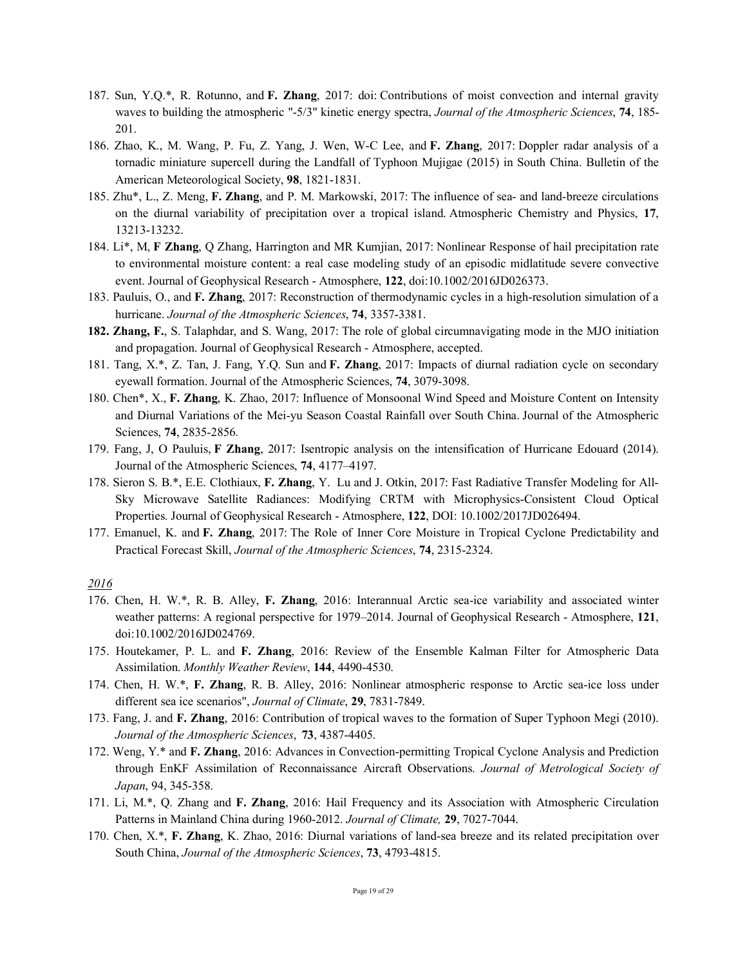- 187. Sun, Y.Q.\*, R. Rotunno, and **F. Zhang**, 2017: doi: Contributions of moist convection and internal gravity waves to building the atmospheric "-5/3" kinetic energy spectra, *Journal of the Atmospheric Sciences*, **74**, 185- 201.
- 186. Zhao, K., M. Wang, P. Fu, Z. Yang, J. Wen, W-C Lee, and **F. Zhang**, 2017: Doppler radar analysis of a tornadic miniature supercell during the Landfall of Typhoon Mujigae (2015) in South China. Bulletin of the American Meteorological Society, **98**, 1821-1831.
- 185. Zhu\*, L., Z. Meng, **F. Zhang**, and P. M. Markowski, 2017: The influence of sea- and land-breeze circulations on the diurnal variability of precipitation over a tropical island. Atmospheric Chemistry and Physics, **17**, 13213-13232.
- 184. Li\*, M, **F Zhang**, Q Zhang, Harrington and MR Kumjian, 2017: Nonlinear Response of hail precipitation rate to environmental moisture content: a real case modeling study of an episodic midlatitude severe convective event. Journal of Geophysical Research - Atmosphere, **122**, doi:10.1002/2016JD026373.
- 183. Pauluis, O., and **F. Zhang**, 2017: Reconstruction of thermodynamic cycles in a high-resolution simulation of a hurricane. *Journal of the Atmospheric Sciences*, **74**, 3357-3381.
- **182. Zhang, F.**, S. Talaphdar, and S. Wang, 2017: The role of global circumnavigating mode in the MJO initiation and propagation. Journal of Geophysical Research - Atmosphere, accepted.
- 181. Tang, X.\*, Z. Tan, J. Fang, Y.Q. Sun and **F. Zhang**, 2017: Impacts of diurnal radiation cycle on secondary eyewall formation. Journal of the Atmospheric Sciences, **74**, 3079-3098.
- 180. Chen\*, X., **F. Zhang**, K. Zhao, 2017: Influence of Monsoonal Wind Speed and Moisture Content on Intensity and Diurnal Variations of the Mei-yu Season Coastal Rainfall over South China. Journal of the Atmospheric Sciences, **74**, 2835-2856.
- 179. Fang, J, O Pauluis, **F Zhang**, 2017: Isentropic analysis on the intensification of Hurricane Edouard (2014). Journal of the Atmospheric Sciences, **74**, 4177–4197.
- 178. Sieron S. B.\*, E.E. Clothiaux, **F. Zhang**, Y. Lu and J. Otkin, 2017: Fast Radiative Transfer Modeling for All-Sky Microwave Satellite Radiances: Modifying CRTM with Microphysics-Consistent Cloud Optical Properties. Journal of Geophysical Research - Atmosphere, **122**, DOI: 10.1002/2017JD026494.
- 177. Emanuel, K. and **F. Zhang**, 2017: The Role of Inner Core Moisture in Tropical Cyclone Predictability and Practical Forecast Skill, *Journal of the Atmospheric Sciences*, **74**, 2315-2324.

- 176. Chen, H. W.\*, R. B. Alley, **F. Zhang**, 2016: Interannual Arctic sea-ice variability and associated winter weather patterns: A regional perspective for 1979–2014. Journal of Geophysical Research - Atmosphere, **121**, doi:10.1002/2016JD024769.
- 175. Houtekamer, P. L. and **F. Zhang**, 2016: Review of the Ensemble Kalman Filter for Atmospheric Data Assimilation. *Monthly Weather Review*, **144**, 4490-4530.
- 174. Chen, H. W.\*, **F. Zhang**, R. B. Alley, 2016: Nonlinear atmospheric response to Arctic sea-ice loss under different sea ice scenarios", *Journal of Climate*, **29**, 7831-7849.
- 173. Fang, J. and **F. Zhang**, 2016: Contribution of tropical waves to the formation of Super Typhoon Megi (2010). *Journal of the Atmospheric Sciences*, **73**, 4387-4405.
- 172. Weng, Y.\* and **F. Zhang**, 2016: Advances in Convection-permitting Tropical Cyclone Analysis and Prediction through EnKF Assimilation of Reconnaissance Aircraft Observations. *Journal of Metrological Society of Japan*, 94, 345-358.
- 171. Li, M.\*, Q. Zhang and **F. Zhang**, 2016: Hail Frequency and its Association with Atmospheric Circulation Patterns in Mainland China during 1960-2012. *Journal of Climate,* **29**, 7027-7044.
- 170. Chen, X.\*, **F. Zhang**, K. Zhao, 2016: Diurnal variations of land-sea breeze and its related precipitation over South China, *Journal of the Atmospheric Sciences*, **73**, 4793-4815.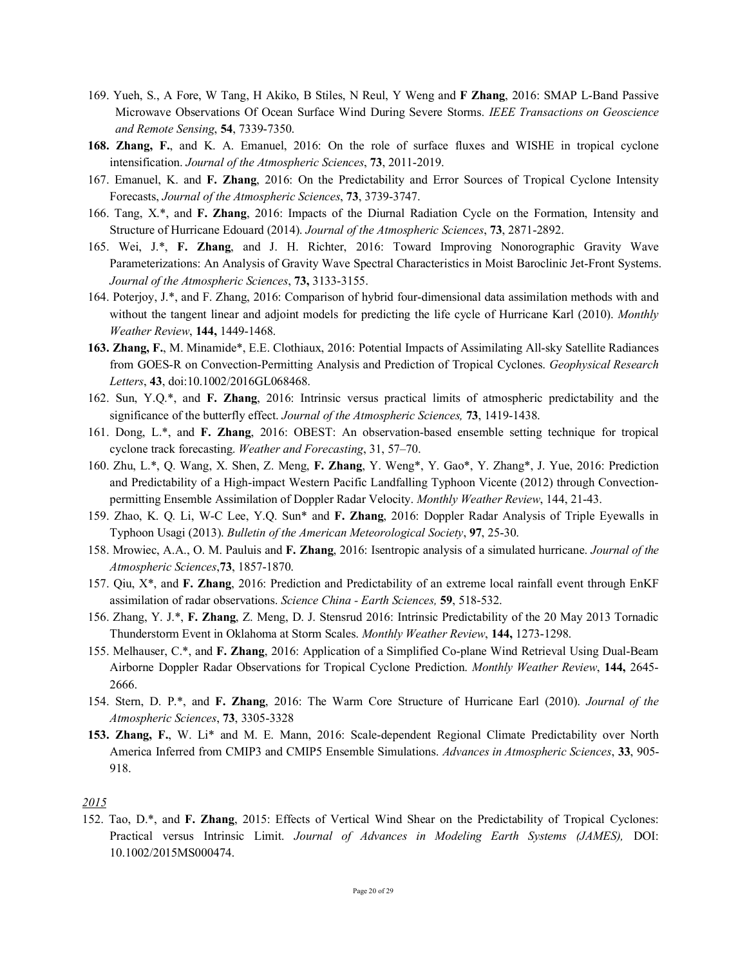- 169. Yueh, S., A Fore, W Tang, H Akiko, B Stiles, N Reul, Y Weng and **F Zhang**, 2016: SMAP L-Band Passive Microwave Observations Of Ocean Surface Wind During Severe Storms. *IEEE Transactions on Geoscience and Remote Sensing*, **54**, 7339-7350.
- **168. Zhang, F.**, and K. A. Emanuel, 2016: On the role of surface fluxes and WISHE in tropical cyclone intensification. *Journal of the Atmospheric Sciences*, **73**, 2011-2019.
- 167. Emanuel, K. and **F. Zhang**, 2016: On the Predictability and Error Sources of Tropical Cyclone Intensity Forecasts, *Journal of the Atmospheric Sciences*, **73**, 3739-3747.
- 166. Tang, X.\*, and **F. Zhang**, 2016: Impacts of the Diurnal Radiation Cycle on the Formation, Intensity and Structure of Hurricane Edouard (2014). *Journal of the Atmospheric Sciences*, **73**, 2871-2892.
- 165. Wei, J.\*, **F. Zhang**, and J. H. Richter, 2016: Toward Improving Nonorographic Gravity Wave Parameterizations: An Analysis of Gravity Wave Spectral Characteristics in Moist Baroclinic Jet-Front Systems. *Journal of the Atmospheric Sciences*, **73,** 3133-3155.
- 164. Poterjoy, J.\*, and F. Zhang, 2016: Comparison of hybrid four-dimensional data assimilation methods with and without the tangent linear and adjoint models for predicting the life cycle of Hurricane Karl (2010). *Monthly Weather Review*, **144,** 1449-1468.
- **163. Zhang, F.**, M. Minamide\*, E.E. Clothiaux, 2016: Potential Impacts of Assimilating All-sky Satellite Radiances from GOES-R on Convection-Permitting Analysis and Prediction of Tropical Cyclones. *Geophysical Research Letters*, **43**, doi:10.1002/2016GL068468.
- 162. Sun, Y.Q.\*, and **F. Zhang**, 2016: Intrinsic versus practical limits of atmospheric predictability and the significance of the butterfly effect. *Journal of the Atmospheric Sciences,* **73**, 1419-1438.
- 161. Dong, L.\*, and **F. Zhang**, 2016: OBEST: An observation-based ensemble setting technique for tropical cyclone track forecasting. *Weather and Forecasting*, 31, 57–70.
- 160. Zhu, L.\*, Q. Wang, X. Shen, Z. Meng, **F. Zhang**, Y. Weng\*, Y. Gao\*, Y. Zhang\*, J. Yue, 2016: Prediction and Predictability of a High-impact Western Pacific Landfalling Typhoon Vicente (2012) through Convectionpermitting Ensemble Assimilation of Doppler Radar Velocity. *Monthly Weather Review*, 144, 21-43.
- 159. Zhao, K. Q. Li, W-C Lee, Y.Q. Sun\* and **F. Zhang**, 2016: Doppler Radar Analysis of Triple Eyewalls in Typhoon Usagi (2013). *Bulletin of the American Meteorological Society*, **97**, 25-30.
- 158. Mrowiec, A.A., O. M. Pauluis and **F. Zhang**, 2016: Isentropic analysis of a simulated hurricane. *Journal of the Atmospheric Sciences*,**73**, 1857-1870.
- 157. Qiu, X\*, and **F. Zhang**, 2016: Prediction and Predictability of an extreme local rainfall event through EnKF assimilation of radar observations. *Science China - Earth Sciences,* **59**, 518-532.
- 156. Zhang, Y. J.\*, **F. Zhang**, Z. Meng, D. J. Stensrud 2016: Intrinsic Predictability of the 20 May 2013 Tornadic Thunderstorm Event in Oklahoma at Storm Scales. *Monthly Weather Review*, **144,** 1273-1298.
- 155. Melhauser, C.\*, and **F. Zhang**, 2016: Application of a Simplified Co-plane Wind Retrieval Using Dual-Beam Airborne Doppler Radar Observations for Tropical Cyclone Prediction. *Monthly Weather Review*, **144,** 2645- 2666.
- 154. Stern, D. P.\*, and **F. Zhang**, 2016: The Warm Core Structure of Hurricane Earl (2010). *Journal of the Atmospheric Sciences*, **73**, 3305-3328
- **153. Zhang, F.**, W. Li\* and M. E. Mann, 2016: Scale-dependent Regional Climate Predictability over North America Inferred from CMIP3 and CMIP5 Ensemble Simulations. *Advances in Atmospheric Sciences*, **33**, 905- 918.

152. Tao, D.\*, and **F. Zhang**, 2015: Effects of Vertical Wind Shear on the Predictability of Tropical Cyclones: Practical versus Intrinsic Limit. *Journal of Advances in Modeling Earth Systems (JAMES),* DOI: 10.1002/2015MS000474.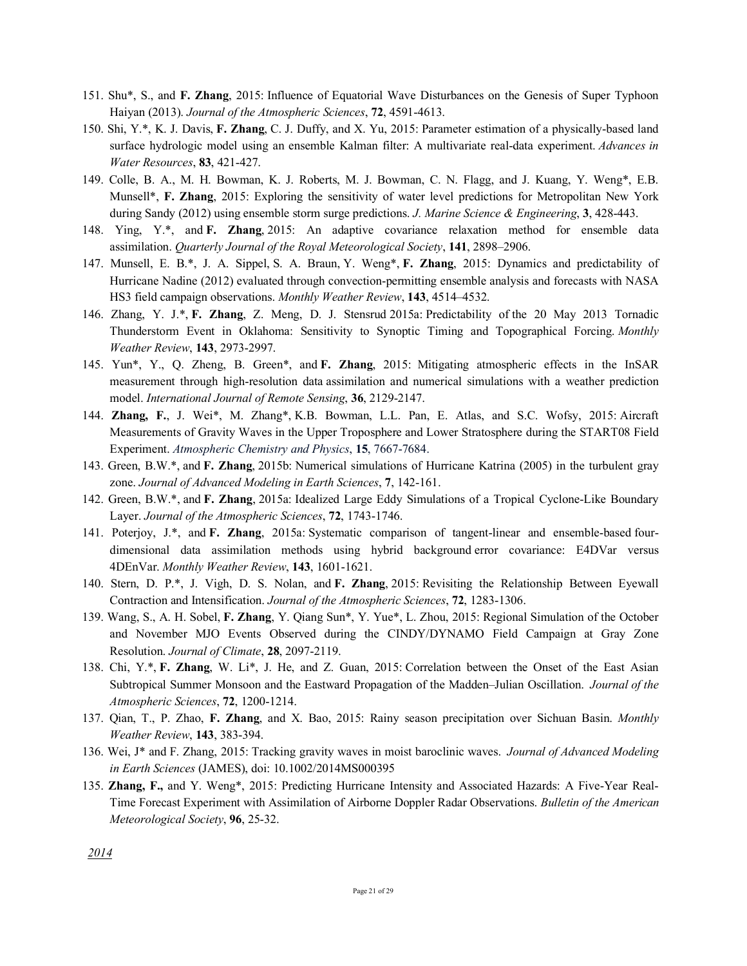- 151. Shu\*, S., and **F. Zhang**, 2015: Influence of Equatorial Wave Disturbances on the Genesis of Super Typhoon Haiyan (2013). *Journal of the Atmospheric Sciences*, **72**, 4591-4613.
- 150. Shi, Y.\*, K. J. Davis, **F. Zhang**, C. J. Duffy, and X. Yu, 2015: Parameter estimation of a physically-based land surface hydrologic model using an ensemble Kalman filter: A multivariate real-data experiment. *Advances in Water Resources*, **83**, 421-427.
- 149. Colle, B. A., M. H. Bowman, K. J. Roberts, M. J. Bowman, C. N. Flagg, and J. Kuang, Y. Weng\*, E.B. Munsell\*, **F. Zhang**, 2015: Exploring the sensitivity of water level predictions for Metropolitan New York during Sandy (2012) using ensemble storm surge predictions. *J. Marine Science & Engineering*, **3**, 428-443.
- 148. Ying, Y.\*, and **F. Zhang**, 2015: An adaptive covariance relaxation method for ensemble data assimilation. *Quarterly Journal of the Royal Meteorological Society*, **141**, 2898–2906.
- 147. Munsell, E. B.\*, J. A. Sippel, S. A. Braun, Y. Weng\*, **F. Zhang**, 2015: Dynamics and predictability of Hurricane Nadine (2012) evaluated through convection-permitting ensemble analysis and forecasts with NASA HS3 field campaign observations. *Monthly Weather Review*, **143**, 4514–4532.
- 146. Zhang, Y. J.\*, **F. Zhang**, Z. Meng, D. J. Stensrud 2015a: Predictability of the 20 May 2013 Tornadic Thunderstorm Event in Oklahoma: Sensitivity to Synoptic Timing and Topographical Forcing. *Monthly Weather Review*, **143**, 2973-2997.
- 145. Yun\*, Y., Q. Zheng, B. Green\*, and **F. Zhang**, 2015: Mitigating atmospheric effects in the InSAR measurement through high-resolution data assimilation and numerical simulations with a weather prediction model. *International Journal of Remote Sensing*, **36**, 2129-2147.
- 144. **Zhang, F.**, J. Wei\*, M. Zhang\*, K.B. Bowman, L.L. Pan, E. Atlas, and S.C. Wofsy, 2015: Aircraft Measurements of Gravity Waves in the Upper Troposphere and Lower Stratosphere during the START08 Field Experiment. *Atmospheric Chemistry and Physics*, **15**, 7667-7684.
- 143. Green, B.W.\*, and **F. Zhang**, 2015b: Numerical simulations of Hurricane Katrina (2005) in the turbulent gray zone. *Journal of Advanced Modeling in Earth Sciences*, **7**, 142-161.
- 142. Green, B.W.\*, and **F. Zhang**, 2015a: Idealized Large Eddy Simulations of a Tropical Cyclone-Like Boundary Layer. *Journal of the Atmospheric Sciences*, **72**, 1743-1746.
- 141. Poterjoy, J.\*, and **F. Zhang**, 2015a: Systematic comparison of tangent-linear and ensemble-based fourdimensional data assimilation methods using hybrid background error covariance: E4DVar versus 4DEnVar. *Monthly Weather Review*, **143**, 1601-1621.
- 140. Stern, D. P.\*, J. Vigh, D. S. Nolan, and **F. Zhang**, 2015: Revisiting the Relationship Between Eyewall Contraction and Intensification. *Journal of the Atmospheric Sciences*, **72**, 1283-1306.
- 139. Wang, S., A. H. Sobel, **F. Zhang**, Y. Qiang Sun\*, Y. Yue\*, L. Zhou, 2015: Regional Simulation of the October and November MJO Events Observed during the CINDY/DYNAMO Field Campaign at Gray Zone Resolution. *Journal of Climate*, **28**, 2097-2119.
- 138. Chi, Y.\*, **F. Zhang**, W. Li\*, J. He, and Z. Guan, 2015: Correlation between the Onset of the East Asian Subtropical Summer Monsoon and the Eastward Propagation of the Madden–Julian Oscillation. *Journal of the Atmospheric Sciences*, **72**, 1200-1214.
- 137. Qian, T., P. Zhao, **F. Zhang**, and X. Bao, 2015: Rainy season precipitation over Sichuan Basin. *Monthly Weather Review*, **143**, 383-394.
- 136. Wei, J\* and F. Zhang, 2015: Tracking gravity waves in moist baroclinic waves. *Journal of Advanced Modeling in Earth Sciences* (JAMES), doi: 10.1002/2014MS000395
- 135. **Zhang, F.,** and Y. Weng\*, 2015: Predicting Hurricane Intensity and Associated Hazards: A Five-Year Real-Time Forecast Experiment with Assimilation of Airborne Doppler Radar Observations. *Bulletin of the American Meteorological Society*, **96**, 25-32.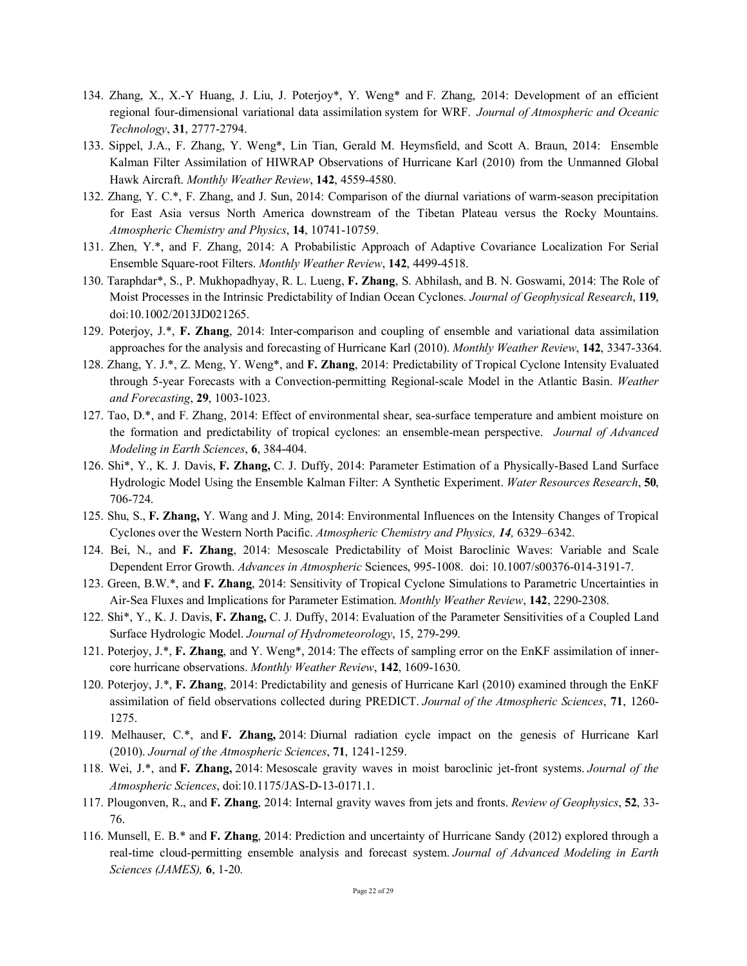- 134. Zhang, X., X.-Y Huang, J. Liu, J. Poterjoy\*, Y. Weng\* and F. Zhang, 2014: Development of an efficient regional four-dimensional variational data assimilation system for WRF. *Journal of Atmospheric and Oceanic Technology*, **31**, 2777-2794.
- 133. Sippel, J.A., F. Zhang, Y. Weng\*, Lin Tian, Gerald M. Heymsfield, and Scott A. Braun, 2014: Ensemble Kalman Filter Assimilation of HIWRAP Observations of Hurricane Karl (2010) from the Unmanned Global Hawk Aircraft. *Monthly Weather Review*, **142**, 4559-4580.
- 132. Zhang, Y. C.\*, F. Zhang, and J. Sun, 2014: Comparison of the diurnal variations of warm-season precipitation for East Asia versus North America downstream of the Tibetan Plateau versus the Rocky Mountains. *Atmospheric Chemistry and Physics*, **14**, 10741-10759.
- 131. Zhen, Y.\*, and F. Zhang, 2014: A Probabilistic Approach of Adaptive Covariance Localization For Serial Ensemble Square-root Filters. *Monthly Weather Review*, **142**, 4499-4518.
- 130. Taraphdar\*, S., P. Mukhopadhyay, R. L. Lueng, **F. Zhang**, S. Abhilash, and B. N. Goswami, 2014: The Role of Moist Processes in the Intrinsic Predictability of Indian Ocean Cyclones. *Journal of Geophysical Research*, **119**, doi:10.1002/2013JD021265.
- 129. Poterjoy, J.\*, **F. Zhang**, 2014: Inter-comparison and coupling of ensemble and variational data assimilation approaches for the analysis and forecasting of Hurricane Karl (2010). *Monthly Weather Review*, **142**, 3347-3364.
- 128. Zhang, Y. J.\*, Z. Meng, Y. Weng\*, and **F. Zhang**, 2014: Predictability of Tropical Cyclone Intensity Evaluated through 5-year Forecasts with a Convection-permitting Regional-scale Model in the Atlantic Basin. *Weather and Forecasting*, **29**, 1003-1023.
- 127. Tao, D.\*, and F. Zhang, 2014: Effect of environmental shear, sea-surface temperature and ambient moisture on the formation and predictability of tropical cyclones: an ensemble-mean perspective. *Journal of Advanced Modeling in Earth Sciences*, **6**, 384-404.
- 126. Shi\*, Y., K. J. Davis, **F. Zhang,** C. J. Duffy, 2014: Parameter Estimation of a Physically-Based Land Surface Hydrologic Model Using the Ensemble Kalman Filter: A Synthetic Experiment. *Water Resources Research*, **50**, 706-724.
- 125. Shu, S., **F. Zhang,** Y. Wang and J. Ming, 2014: Environmental Influences on the Intensity Changes of Tropical Cyclones over the Western North Pacific. *Atmospheric Chemistry and Physics, 14,* 6329–6342.
- 124. Bei, N., and **F. Zhang**, 2014: Mesoscale Predictability of Moist Baroclinic Waves: Variable and Scale Dependent Error Growth. *Advances in Atmospheric* Sciences, 995-1008. doi: 10.1007/s00376-014-3191-7.
- 123. Green, B.W.\*, and **F. Zhang**, 2014: Sensitivity of Tropical Cyclone Simulations to Parametric Uncertainties in Air-Sea Fluxes and Implications for Parameter Estimation. *Monthly Weather Review*, **142**, 2290-2308.
- 122. Shi\*, Y., K. J. Davis, **F. Zhang,** C. J. Duffy, 2014: Evaluation of the Parameter Sensitivities of a Coupled Land Surface Hydrologic Model. *Journal of Hydrometeorology*, 15, 279-299.
- 121. Poterjoy, J.\*, **F. Zhang**, and Y. Weng\*, 2014: The effects of sampling error on the EnKF assimilation of innercore hurricane observations. *Monthly Weather Review*, **142**, 1609-1630.
- 120. Poterjoy, J.\*, **F. Zhang**, 2014: Predictability and genesis of Hurricane Karl (2010) examined through the EnKF assimilation of field observations collected during PREDICT. *Journal of the Atmospheric Sciences*, **71**, 1260- 1275.
- 119. Melhauser, C.\*, and **F. Zhang,** 2014: Diurnal radiation cycle impact on the genesis of Hurricane Karl (2010). *Journal of the Atmospheric Sciences*, **71**, 1241-1259.
- 118. Wei, J.\*, and **F. Zhang,** 2014: Mesoscale gravity waves in moist baroclinic jet-front systems. *Journal of the Atmospheric Sciences*, doi:10.1175/JAS-D-13-0171.1.
- 117. Plougonven, R., and **F. Zhang**, 2014: Internal gravity waves from jets and fronts. *Review of Geophysics*, **52**, 33- 76.
- 116. Munsell, E. B.\* and **F. Zhang**, 2014: Prediction and uncertainty of Hurricane Sandy (2012) explored through a real-time cloud-permitting ensemble analysis and forecast system. *Journal of Advanced Modeling in Earth Sciences (JAMES),* **6**, 1-20*.*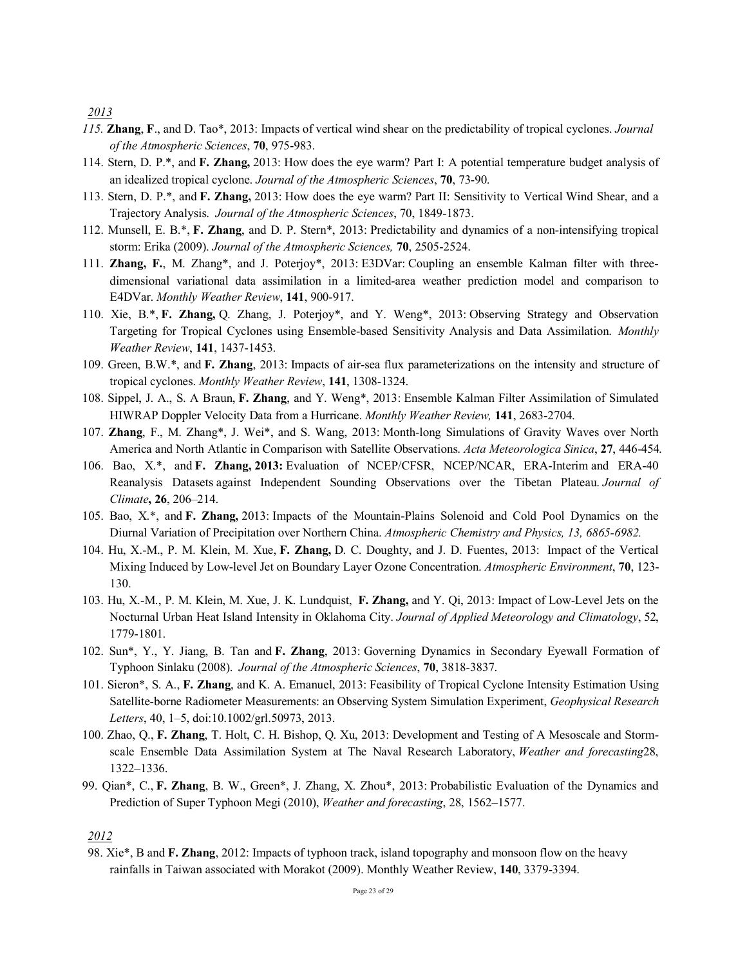- *115.* **Zhang**, **F**., and D. Tao\*, 2013: Impacts of vertical wind shear on the predictability of tropical cyclones. *Journal of the Atmospheric Sciences*, **70**, 975-983.
- 114. Stern, D. P.\*, and **F. Zhang,** 2013: How does the eye warm? Part I: A potential temperature budget analysis of an idealized tropical cyclone. *Journal of the Atmospheric Sciences*, **70**, 73-90.
- 113. Stern, D. P.\*, and **F. Zhang,** 2013: How does the eye warm? Part II: Sensitivity to Vertical Wind Shear, and a Trajectory Analysis. *Journal of the Atmospheric Sciences*, 70, 1849-1873.
- 112. Munsell, E. B.\*, **F. Zhang**, and D. P. Stern\*, 2013: Predictability and dynamics of a non-intensifying tropical storm: Erika (2009). *Journal of the Atmospheric Sciences,* **70**, 2505-2524.
- 111. **Zhang, F.**, M. Zhang\*, and J. Poterjoy\*, 2013: E3DVar: Coupling an ensemble Kalman filter with threedimensional variational data assimilation in a limited-area weather prediction model and comparison to E4DVar. *Monthly Weather Review*, **141**, 900-917.
- 110. Xie, B.\*, **F. Zhang,** Q. Zhang, J. Poterjoy\*, and Y. Weng\*, 2013: Observing Strategy and Observation Targeting for Tropical Cyclones using Ensemble-based Sensitivity Analysis and Data Assimilation. *Monthly Weather Review*, **141**, 1437-1453.
- 109. Green, B.W.\*, and **F. Zhang**, 2013: Impacts of air-sea flux parameterizations on the intensity and structure of tropical cyclones. *Monthly Weather Review*, **141**, 1308-1324.
- 108. Sippel, J. A., S. A Braun, **F. Zhang**, and Y. Weng\*, 2013: Ensemble Kalman Filter Assimilation of Simulated HIWRAP Doppler Velocity Data from a Hurricane. *Monthly Weather Review,* **141**, 2683-2704.
- 107. **Zhang**, F., M. Zhang\*, J. Wei\*, and S. Wang, 2013: Month-long Simulations of Gravity Waves over North America and North Atlantic in Comparison with Satellite Observations. *Acta Meteorologica Sinica*, **27**, 446-454.
- 106. Bao, X.\*, and **F. Zhang, 2013:** Evaluation of NCEP/CFSR, NCEP/NCAR, ERA-Interim and ERA-40 Reanalysis Datasets against Independent Sounding Observations over the Tibetan Plateau. *Journal of Climate***, 26**, 206–214.
- 105. Bao, X.\*, and **F. Zhang,** 2013: Impacts of the Mountain-Plains Solenoid and Cold Pool Dynamics on the Diurnal Variation of Precipitation over Northern China. *Atmospheric Chemistry and Physics, 13, 6865-6982.*
- 104. Hu, X.-M., P. M. Klein, M. Xue, **F. Zhang,** D. C. Doughty, and J. D. Fuentes, 2013: Impact of the Vertical Mixing Induced by Low-level Jet on Boundary Layer Ozone Concentration. *Atmospheric Environment*, **70**, 123- 130.
- 103. Hu, X.-M., P. M. Klein, M. Xue, J. K. Lundquist, **F. Zhang,** and Y. Qi, 2013: Impact of Low-Level Jets on the Nocturnal Urban Heat Island Intensity in Oklahoma City. *Journal of Applied Meteorology and Climatology*, 52, 1779-1801.
- 102. Sun\*, Y., Y. Jiang, B. Tan and **F. Zhang**, 2013: Governing Dynamics in Secondary Eyewall Formation of Typhoon Sinlaku (2008). *Journal of the Atmospheric Sciences*, **70**, 3818-3837.
- 101. Sieron\*, S. A., **F. Zhang**, and K. A. Emanuel, 2013: Feasibility of Tropical Cyclone Intensity Estimation Using Satellite-borne Radiometer Measurements: an Observing System Simulation Experiment, *Geophysical Research Letters*, 40, 1–5, doi:10.1002/grl.50973, 2013.
- 100. Zhao, Q., **F. Zhang**, T. Holt, C. H. Bishop, Q. Xu, 2013: Development and Testing of A Mesoscale and Stormscale Ensemble Data Assimilation System at The Naval Research Laboratory, *Weather and forecasting*28, 1322–1336.
- 99. Qian\*, C., **F. Zhang**, B. W., Green\*, J. Zhang, X. Zhou\*, 2013: Probabilistic Evaluation of the Dynamics and Prediction of Super Typhoon Megi (2010), *Weather and forecasting*, 28, 1562–1577.

### *2012*

98. Xie\*, B and **F. Zhang**, 2012: Impacts of typhoon track, island topography and monsoon flow on the heavy rainfalls in Taiwan associated with Morakot (2009). Monthly Weather Review, **140**, 3379-3394.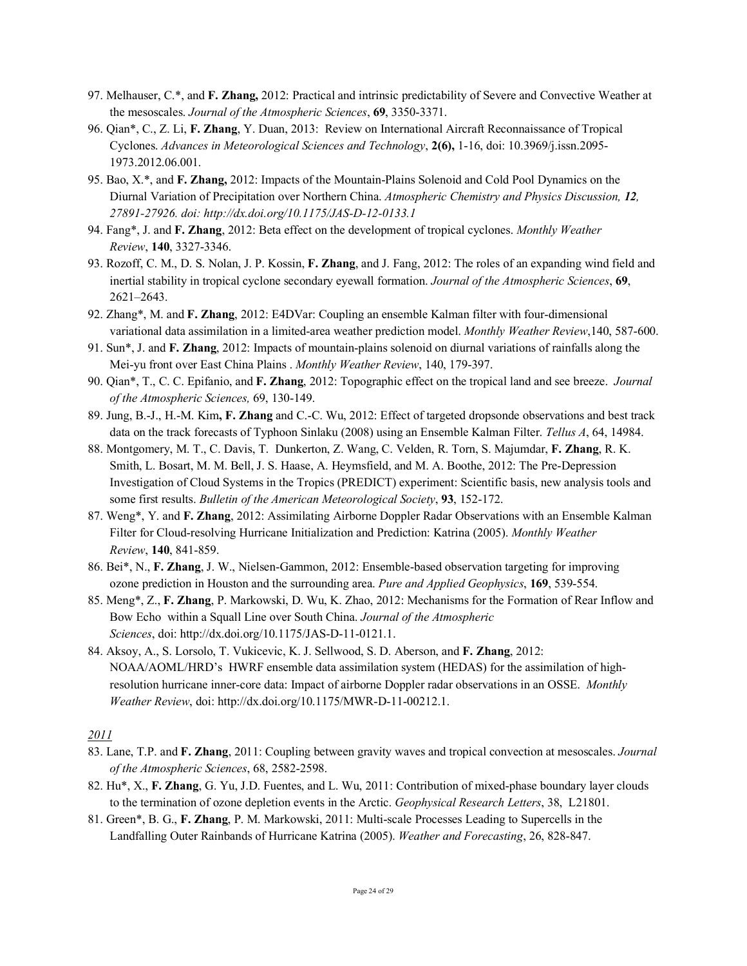- 97. Melhauser, C.\*, and **F. Zhang,** 2012: Practical and intrinsic predictability of Severe and Convective Weather at the mesoscales. *Journal of the Atmospheric Sciences*, **69**, 3350-3371.
- 96. Qian\*, C., Z. Li, **F. Zhang**, Y. Duan, 2013: Review on International Aircraft Reconnaissance of Tropical Cyclones. *Advances in Meteorological Sciences and Technology*, **2(6),** 1-16, doi: 10.3969/j.issn.2095- 1973.2012.06.001.
- 95. Bao, X.\*, and **F. Zhang,** 2012: Impacts of the Mountain-Plains Solenoid and Cold Pool Dynamics on the Diurnal Variation of Precipitation over Northern China. *Atmospheric Chemistry and Physics Discussion, 12, 27891-27926. doi: http://dx.doi.org/10.1175/JAS-D-12-0133.1*
- 94. Fang\*, J. and **F. Zhang**, 2012: Beta effect on the development of tropical cyclones. *Monthly Weather Review*, **140**, 3327-3346.
- 93. Rozoff, C. M., D. S. Nolan, J. P. Kossin, **F. Zhang**, and J. Fang, 2012: The roles of an expanding wind field and inertial stability in tropical cyclone secondary eyewall formation. *Journal of the Atmospheric Sciences*, **69**, 2621–2643.
- 92. Zhang\*, M. and **F. Zhang**, 2012: E4DVar: Coupling an ensemble Kalman filter with four-dimensional variational data assimilation in a limited-area weather prediction model. *Monthly Weather Review*,140, 587-600.
- 91. Sun\*, J. and **F. Zhang**, 2012: Impacts of mountain-plains solenoid on diurnal variations of rainfalls along the Mei-yu front over East China Plains . *Monthly Weather Review*, 140, 179-397.
- 90. Qian\*, T., C. C. Epifanio, and **F. Zhang**, 2012: Topographic effect on the tropical land and see breeze. *Journal of the Atmospheric Sciences,* 69, 130-149.
- 89. Jung, B.-J., H.-M. Kim**, F. Zhang** and C.-C. Wu, 2012: Effect of targeted dropsonde observations and best track data on the track forecasts of Typhoon Sinlaku (2008) using an Ensemble Kalman Filter. *Tellus A*, 64, 14984.
- 88. Montgomery, M. T., C. Davis, T. Dunkerton, Z. Wang, C. Velden, R. Torn, S. Majumdar, **F. Zhang**, R. K. Smith, L. Bosart, M. M. Bell, J. S. Haase, A. Heymsfield, and M. A. Boothe, 2012: The Pre-Depression Investigation of Cloud Systems in the Tropics (PREDICT) experiment: Scientific basis, new analysis tools and some first results. *Bulletin of the American Meteorological Society*, **93**, 152-172.
- 87. Weng\*, Y. and **F. Zhang**, 2012: Assimilating Airborne Doppler Radar Observations with an Ensemble Kalman Filter for Cloud-resolving Hurricane Initialization and Prediction: Katrina (2005). *Monthly Weather Review*, **140**, 841-859.
- 86. Bei\*, N., **F. Zhang**, J. W., Nielsen-Gammon, 2012: Ensemble-based observation targeting for improving ozone prediction in Houston and the surrounding area. *Pure and Applied Geophysics*, **169**, 539-554.
- 85. Meng\*, Z., **F. Zhang**, P. Markowski, D. Wu, K. Zhao, 2012: Mechanisms for the Formation of Rear Inflow and Bow Echo within a Squall Line over South China. *Journal of the Atmospheric Sciences*, doi: http://dx.doi.org/10.1175/JAS-D-11-0121.1.
- 84. Aksoy, A., S. Lorsolo, T. Vukicevic, K. J. Sellwood, S. D. Aberson, and **F. Zhang**, 2012: NOAA/AOML/HRD's HWRF ensemble data assimilation system (HEDAS) for the assimilation of highresolution hurricane inner-core data: Impact of airborne Doppler radar observations in an OSSE. *Monthly Weather Review*, doi: http://dx.doi.org/10.1175/MWR-D-11-00212.1.

- 83. Lane, T.P. and **F. Zhang**, 2011: Coupling between gravity waves and tropical convection at mesoscales. *Journal of the Atmospheric Sciences*, 68, 2582-2598.
- 82. Hu\*, X., **F. Zhang**, G. Yu, J.D. Fuentes, and L. Wu, 2011: Contribution of mixed-phase boundary layer clouds to the termination of ozone depletion events in the Arctic. *Geophysical Research Letters*, 38, L21801.
- 81. Green\*, B. G., **F. Zhang**, P. M. Markowski, 2011: Multi-scale Processes Leading to Supercells in the Landfalling Outer Rainbands of Hurricane Katrina (2005). *Weather and Forecasting*, 26, 828-847.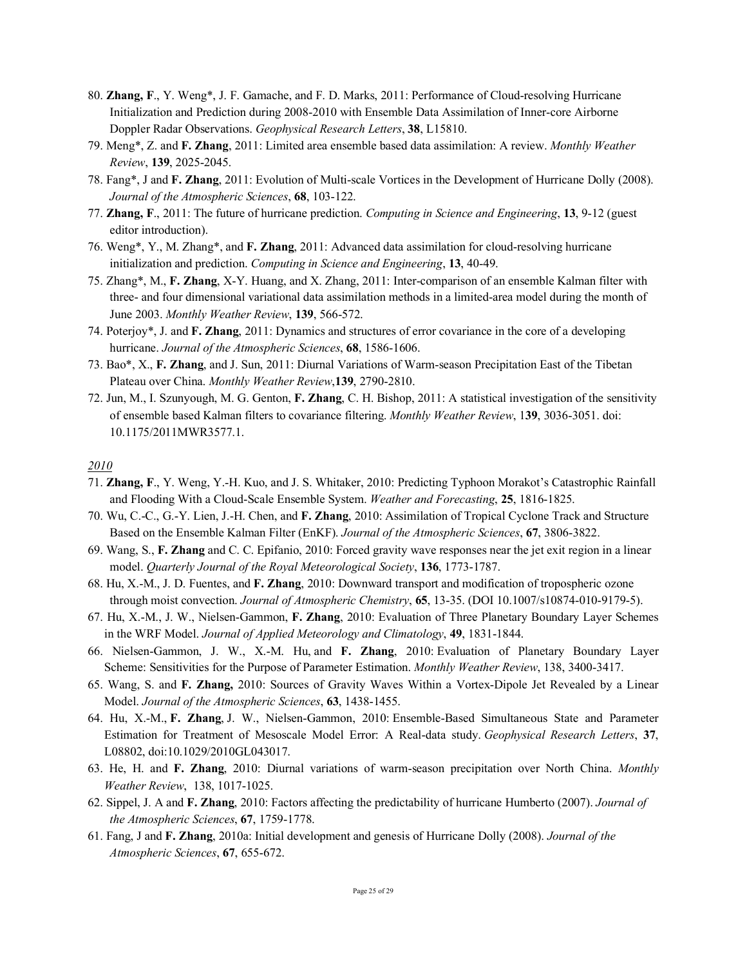- 80. **Zhang, F**., Y. Weng\*, J. F. Gamache, and F. D. Marks, 2011: Performance of Cloud-resolving Hurricane Initialization and Prediction during 2008-2010 with Ensemble Data Assimilation of Inner-core Airborne Doppler Radar Observations. *Geophysical Research Letters*, **38**, L15810.
- 79. Meng\*, Z. and **F. Zhang**, 2011: Limited area ensemble based data assimilation: A review. *Monthly Weather Review*, **139**, 2025-2045.
- 78. Fang\*, J and **F. Zhang**, 2011: Evolution of Multi-scale Vortices in the Development of Hurricane Dolly (2008). *Journal of the Atmospheric Sciences*, **68**, 103-122.
- 77. **Zhang, F**., 2011: The future of hurricane prediction. *Computing in Science and Engineering*, **13**, 9-12 (guest editor introduction).
- 76. Weng\*, Y., M. Zhang\*, and **F. Zhang**, 2011: Advanced data assimilation for cloud-resolving hurricane initialization and prediction. *Computing in Science and Engineering*, **13**, 40-49.
- 75. Zhang\*, M., **F. Zhang**, X-Y. Huang, and X. Zhang, 2011: Inter-comparison of an ensemble Kalman filter with three- and four dimensional variational data assimilation methods in a limited-area model during the month of June 2003. *Monthly Weather Review*, **139**, 566-572.
- 74. Poterjoy\*, J. and **F. Zhang**, 2011: Dynamics and structures of error covariance in the core of a developing hurricane. *Journal of the Atmospheric Sciences*, **68**, 1586-1606.
- 73. Bao\*, X., **F. Zhang**, and J. Sun, 2011: Diurnal Variations of Warm-season Precipitation East of the Tibetan Plateau over China. *Monthly Weather Review*,**139**, 2790-2810.
- 72. Jun, M., I. Szunyough, M. G. Genton, **F. Zhang**, C. H. Bishop, 2011: A statistical investigation of the sensitivity of ensemble based Kalman filters to covariance filtering. *Monthly Weather Review*, 1**39**, 3036-3051. doi: 10.1175/2011MWR3577.1.

- 71. **Zhang, F**., Y. Weng, Y.-H. Kuo, and J. S. Whitaker, 2010: Predicting Typhoon Morakot's Catastrophic Rainfall and Flooding With a Cloud-Scale Ensemble System. *Weather and Forecasting*, **25**, 1816-1825.
- 70. Wu, C.-C., G.-Y. Lien, J.-H. Chen, and **F. Zhang**, 2010: Assimilation of Tropical Cyclone Track and Structure Based on the Ensemble Kalman Filter (EnKF). *Journal of the Atmospheric Sciences*, **67**, 3806-3822.
- 69. Wang, S., **F. Zhang** and C. C. Epifanio, 2010: Forced gravity wave responses near the jet exit region in a linear model. *Quarterly Journal of the Royal Meteorological Society*, **136**, 1773-1787.
- 68. Hu, X.-M., J. D. Fuentes, and **F. Zhang**, 2010: Downward transport and modification of tropospheric ozone through moist convection. *Journal of Atmospheric Chemistry*, **65**, 13-35. (DOI 10.1007/s10874-010-9179-5).
- 67. Hu, X.-M., J. W., Nielsen-Gammon, **F. Zhang**, 2010: Evaluation of Three Planetary Boundary Layer Schemes in the WRF Model. *Journal of Applied Meteorology and Climatology*, **49**, 1831-1844.
- 66. Nielsen-Gammon, J. W., X.-M. Hu, and **F. Zhang**, 2010: Evaluation of Planetary Boundary Layer Scheme: Sensitivities for the Purpose of Parameter Estimation. *Monthly Weather Review*, 138, 3400-3417.
- 65. Wang, S. and **F. Zhang,** 2010: Sources of Gravity Waves Within a Vortex-Dipole Jet Revealed by a Linear Model. *Journal of the Atmospheric Sciences*, **63**, 1438-1455.
- 64. Hu, X.-M., **F. Zhang**, J. W., Nielsen-Gammon, 2010: Ensemble-Based Simultaneous State and Parameter Estimation for Treatment of Mesoscale Model Error: A Real-data study. *Geophysical Research Letters*, **37**, L08802, doi:10.1029/2010GL043017.
- 63. He, H. and **F. Zhang**, 2010: Diurnal variations of warm-season precipitation over North China. *Monthly Weather Review*, 138, 1017-1025.
- 62. Sippel, J. A and **F. Zhang**, 2010: Factors affecting the predictability of hurricane Humberto (2007). *Journal of the Atmospheric Sciences*, **67**, 1759-1778.
- 61. Fang, J and **F. Zhang**, 2010a: Initial development and genesis of Hurricane Dolly (2008). *Journal of the Atmospheric Sciences*, **67**, 655-672.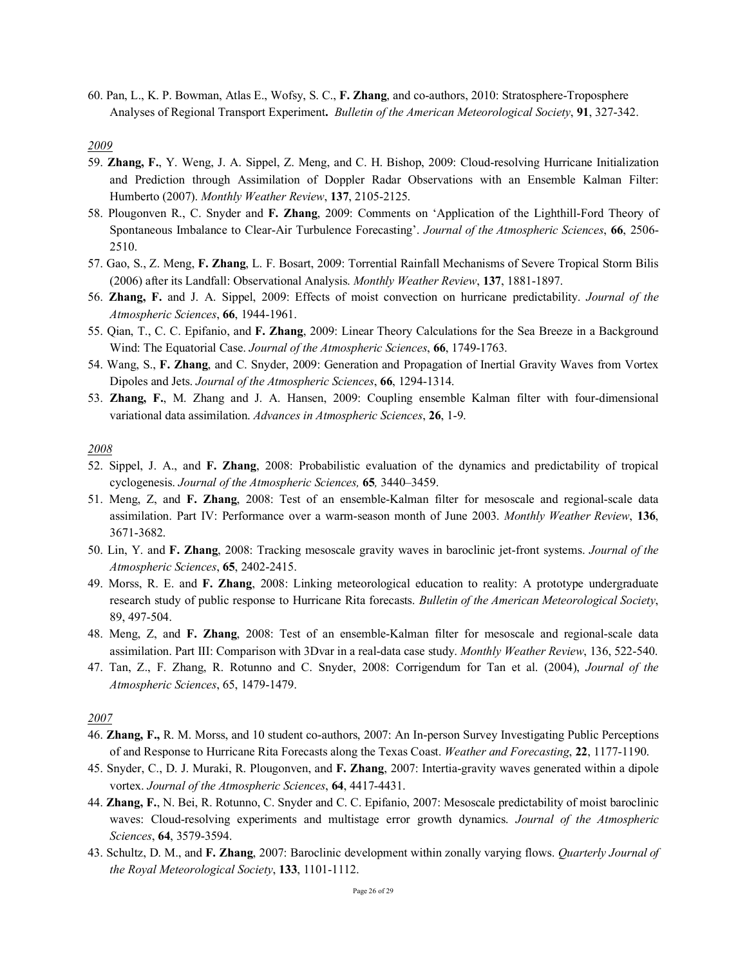60. Pan, L., K. P. Bowman, Atlas E., Wofsy, S. C., **F. Zhang**, and co-authors, 2010: Stratosphere-Troposphere Analyses of Regional Transport Experiment**.** *Bulletin of the American Meteorological Society*, **91**, 327-342.

#### *2009*

- 59. **Zhang, F.**, Y. Weng, J. A. Sippel, Z. Meng, and C. H. Bishop, 2009: Cloud-resolving Hurricane Initialization and Prediction through Assimilation of Doppler Radar Observations with an Ensemble Kalman Filter: Humberto (2007). *Monthly Weather Review*, **137**, 2105-2125.
- 58. Plougonven R., C. Snyder and **F. Zhang**, 2009: Comments on 'Application of the Lighthill-Ford Theory of Spontaneous Imbalance to Clear-Air Turbulence Forecasting'. *Journal of the Atmospheric Sciences*, **66**, 2506- 2510.
- 57. Gao, S., Z. Meng, **F. Zhang**, L. F. Bosart, 2009: Torrential Rainfall Mechanisms of Severe Tropical Storm Bilis (2006) after its Landfall: Observational Analysis. *Monthly Weather Review*, **137**, 1881-1897.
- 56. **Zhang, F.** and J. A. Sippel, 2009: Effects of moist convection on hurricane predictability. *Journal of the Atmospheric Sciences*, **66**, 1944-1961.
- 55. Qian, T., C. C. Epifanio, and **F. Zhang**, 2009: Linear Theory Calculations for the Sea Breeze in a Background Wind: The Equatorial Case. *Journal of the Atmospheric Sciences*, **66**, 1749-1763.
- 54. Wang, S., **F. Zhang**, and C. Snyder, 2009: Generation and Propagation of Inertial Gravity Waves from Vortex Dipoles and Jets. *Journal of the Atmospheric Sciences*, **66**, 1294-1314.
- 53. **Zhang, F.**, M. Zhang and J. A. Hansen, 2009: Coupling ensemble Kalman filter with four-dimensional variational data assimilation. *Advances in Atmospheric Sciences*, **26**, 1-9.

### *2008*

- 52. Sippel, J. A., and **F. Zhang**, 2008: Probabilistic evaluation of the dynamics and predictability of tropical cyclogenesis. *Journal of the Atmospheric Sciences,* **65***,* 3440–3459.
- 51. Meng, Z, and **F. Zhang**, 2008: Test of an ensemble-Kalman filter for mesoscale and regional-scale data assimilation. Part IV: Performance over a warm-season month of June 2003. *Monthly Weather Review*, **136**, 3671-3682.
- 50. Lin, Y. and **F. Zhang**, 2008: Tracking mesoscale gravity waves in baroclinic jet-front systems. *Journal of the Atmospheric Sciences*, **65**, 2402-2415.
- 49. Morss, R. E. and **F. Zhang**, 2008: Linking meteorological education to reality: A prototype undergraduate research study of public response to Hurricane Rita forecasts. *Bulletin of the American Meteorological Society*, 89, 497-504.
- 48. Meng, Z, and **F. Zhang**, 2008: Test of an ensemble-Kalman filter for mesoscale and regional-scale data assimilation. Part III: Comparison with 3Dvar in a real-data case study. *Monthly Weather Review*, 136, 522-540.
- 47. Tan, Z., F. Zhang, R. Rotunno and C. Snyder, 2008: Corrigendum for Tan et al. (2004), *Journal of the Atmospheric Sciences*, 65, 1479-1479.

- 46. **Zhang, F.,** R. M. Morss, and 10 student co-authors, 2007: An In-person Survey Investigating Public Perceptions of and Response to Hurricane Rita Forecasts along the Texas Coast. *Weather and Forecasting*, **22**, 1177-1190.
- 45. Snyder, C., D. J. Muraki, R. Plougonven, and **F. Zhang**, 2007: Intertia-gravity waves generated within a dipole vortex. *Journal of the Atmospheric Sciences*, **64**, 4417-4431.
- 44. **Zhang, F.**, N. Bei, R. Rotunno, C. Snyder and C. C. Epifanio, 2007: Mesoscale predictability of moist baroclinic waves: Cloud-resolving experiments and multistage error growth dynamics. *Journal of the Atmospheric Sciences*, **64**, 3579-3594.
- 43. Schultz, D. M., and **F. Zhang**, 2007: Baroclinic development within zonally varying flows. *Quarterly Journal of the Royal Meteorological Society*, **133**, 1101-1112.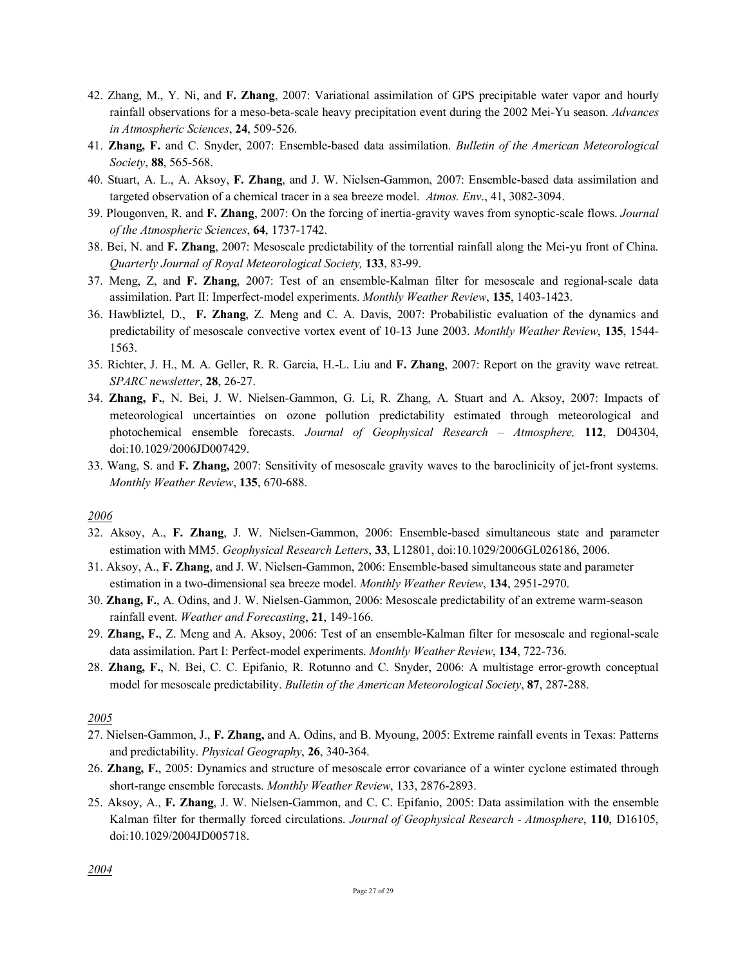- 42. Zhang, M., Y. Ni, and **F. Zhang**, 2007: Variational assimilation of GPS precipitable water vapor and hourly rainfall observations for a meso-beta-scale heavy precipitation event during the 2002 Mei-Yu season. *Advances in Atmospheric Sciences*, **24**, 509-526.
- 41. **Zhang, F.** and C. Snyder, 2007: Ensemble-based data assimilation. *Bulletin of the American Meteorological Society*, **88**, 565-568.
- 40. Stuart, A. L., A. Aksoy, **F. Zhang**, and J. W. Nielsen-Gammon, 2007: Ensemble-based data assimilation and targeted observation of a chemical tracer in a sea breeze model. *Atmos. Env*., 41, 3082-3094.
- 39. Plougonven, R. and **F. Zhang**, 2007: On the forcing of inertia-gravity waves from synoptic-scale flows. *Journal of the Atmospheric Sciences*, **64**, 1737-1742.
- 38. Bei, N. and **F. Zhang**, 2007: Mesoscale predictability of the torrential rainfall along the Mei-yu front of China. *Quarterly Journal of Royal Meteorological Society,* **133**, 83-99.
- 37. Meng, Z, and **F. Zhang**, 2007: Test of an ensemble-Kalman filter for mesoscale and regional-scale data assimilation. Part II: Imperfect-model experiments. *Monthly Weather Review*, **135**, 1403-1423.
- 36. Hawbliztel, D., **F. Zhang**, Z. Meng and C. A. Davis, 2007: Probabilistic evaluation of the dynamics and predictability of mesoscale convective vortex event of 10-13 June 2003. *Monthly Weather Review*, **135**, 1544- 1563.
- 35. Richter, J. H., M. A. Geller, R. R. Garcia, H.-L. Liu and **F. Zhang**, 2007: Report on the gravity wave retreat. *SPARC newsletter*, **28**, 26-27.
- 34. **Zhang, F.**, N. Bei, J. W. Nielsen-Gammon, G. Li, R. Zhang, A. Stuart and A. Aksoy, 2007: Impacts of meteorological uncertainties on ozone pollution predictability estimated through meteorological and photochemical ensemble forecasts. *Journal of Geophysical Research – Atmosphere,* **112**, D04304, doi:10.1029/2006JD007429.
- 33. Wang, S. and **F. Zhang,** 2007: Sensitivity of mesoscale gravity waves to the baroclinicity of jet-front systems. *Monthly Weather Review*, **135**, 670-688.

- 32. Aksoy, A., **F. Zhang**, J. W. Nielsen-Gammon, 2006: Ensemble-based simultaneous state and parameter estimation with MM5. *Geophysical Research Letters*, **33**, L12801, doi:10.1029/2006GL026186, 2006.
- 31. Aksoy, A., **F. Zhang**, and J. W. Nielsen-Gammon, 2006: Ensemble-based simultaneous state and parameter estimation in a two-dimensional sea breeze model. *Monthly Weather Review*, **134**, 2951-2970.
- 30. **Zhang, F.**, A. Odins, and J. W. Nielsen-Gammon, 2006: Mesoscale predictability of an extreme warm-season rainfall event. *Weather and Forecasting*, **21**, 149-166.
- 29. **Zhang, F.**, Z. Meng and A. Aksoy, 2006: Test of an ensemble-Kalman filter for mesoscale and regional-scale data assimilation. Part I: Perfect-model experiments. *Monthly Weather Review*, **134**, 722-736.
- 28. **Zhang, F.**, N. Bei, C. C. Epifanio, R. Rotunno and C. Snyder, 2006: A multistage error-growth conceptual model for mesoscale predictability. *Bulletin of the American Meteorological Society*, **87**, 287-288.

- 27. Nielsen-Gammon, J., **F. Zhang,** and A. Odins, and B. Myoung, 2005: Extreme rainfall events in Texas: Patterns and predictability. *Physical Geography*, **26**, 340-364.
- 26. **Zhang, F.**, 2005: Dynamics and structure of mesoscale error covariance of a winter cyclone estimated through short-range ensemble forecasts. *Monthly Weather Review*, 133, 2876-2893.
- 25. Aksoy, A., **F. Zhang**, J. W. Nielsen-Gammon, and C. C. Epifanio, 2005: Data assimilation with the ensemble Kalman filter for thermally forced circulations. *Journal of Geophysical Research - Atmosphere*, **110**, D16105, doi:10.1029/2004JD005718.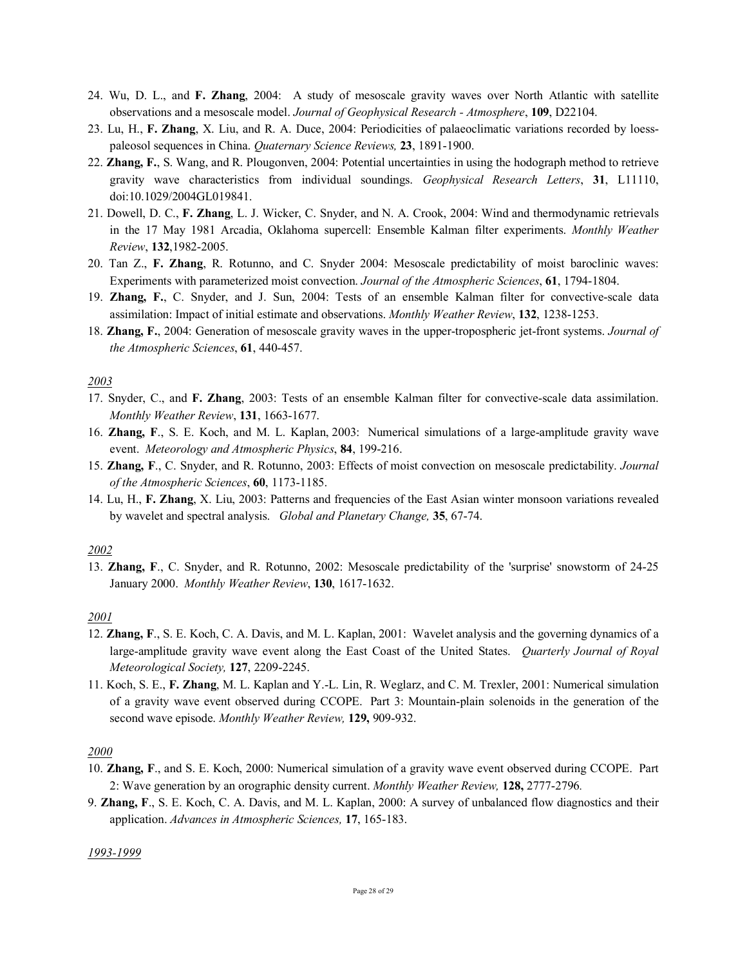- 24. Wu, D. L., and **F. Zhang**, 2004: A study of mesoscale gravity waves over North Atlantic with satellite observations and a mesoscale model. *Journal of Geophysical Research - Atmosphere*, **109**, D22104.
- 23. Lu, H., **F. Zhang**, X. Liu, and R. A. Duce, 2004: Periodicities of palaeoclimatic variations recorded by loesspaleosol sequences in China. *Quaternary Science Reviews,* **23**, 1891-1900.
- 22. **Zhang, F.**, S. Wang, and R. Plougonven, 2004: Potential uncertainties in using the hodograph method to retrieve gravity wave characteristics from individual soundings. *Geophysical Research Letters*, **31**, L11110, doi:10.1029/2004GL019841.
- 21. Dowell, D. C., **F. Zhang**, L. J. Wicker, C. Snyder, and N. A. Crook, 2004: Wind and thermodynamic retrievals in the 17 May 1981 Arcadia, Oklahoma supercell: Ensemble Kalman filter experiments. *Monthly Weather Review*, **132**,1982-2005.
- 20. Tan Z., **F. Zhang**, R. Rotunno, and C. Snyder 2004: Mesoscale predictability of moist baroclinic waves: Experiments with parameterized moist convection. *Journal of the Atmospheric Sciences*, **61**, 1794-1804.
- 19. **Zhang, F.**, C. Snyder, and J. Sun, 2004: Tests of an ensemble Kalman filter for convective-scale data assimilation: Impact of initial estimate and observations. *Monthly Weather Review*, **132**, 1238-1253.
- 18. **Zhang, F.**, 2004: Generation of mesoscale gravity waves in the upper-tropospheric jet-front systems. *Journal of the Atmospheric Sciences*, **61**, 440-457.

- 17. Snyder, C., and **F. Zhang**, 2003: Tests of an ensemble Kalman filter for convective-scale data assimilation. *Monthly Weather Review*, **131**, 1663-1677.
- 16. **Zhang, F**., S. E. Koch, and M. L. Kaplan, 2003: Numerical simulations of a large-amplitude gravity wave event. *Meteorology and Atmospheric Physics*, **84**, 199-216.
- 15. **Zhang, F**., C. Snyder, and R. Rotunno, 2003: Effects of moist convection on mesoscale predictability. *Journal of the Atmospheric Sciences*, **60**, 1173-1185.
- 14. Lu, H., **F. Zhang**, X. Liu, 2003: Patterns and frequencies of the East Asian winter monsoon variations revealed by wavelet and spectral analysis. *Global and Planetary Change,* **35**, 67-74.

## *2002*

13. **Zhang, F**., C. Snyder, and R. Rotunno, 2002: Mesoscale predictability of the 'surprise' snowstorm of 24-25 January 2000. *Monthly Weather Review*, **130**, 1617-1632.

## *2001*

- 12. **Zhang, F**., S. E. Koch, C. A. Davis, and M. L. Kaplan, 2001: Wavelet analysis and the governing dynamics of a large-amplitude gravity wave event along the East Coast of the United States. *Quarterly Journal of Royal Meteorological Society,* **127**, 2209-2245.
- 11. Koch, S. E., **F. Zhang**, M. L. Kaplan and Y.-L. Lin, R. Weglarz, and C. M. Trexler, 2001: Numerical simulation of a gravity wave event observed during CCOPE. Part 3: Mountain-plain solenoids in the generation of the second wave episode. *Monthly Weather Review,* **129,** 909-932.

# *2000*

- 10. **Zhang, F**., and S. E. Koch, 2000: Numerical simulation of a gravity wave event observed during CCOPE. Part 2: Wave generation by an orographic density current. *Monthly Weather Review,* **128,** 2777-2796*.*
- 9. **Zhang, F**., S. E. Koch, C. A. Davis, and M. L. Kaplan, 2000: A survey of unbalanced flow diagnostics and their application. *Advances in Atmospheric Sciences,* **17**, 165-183.

#### *1993-1999*